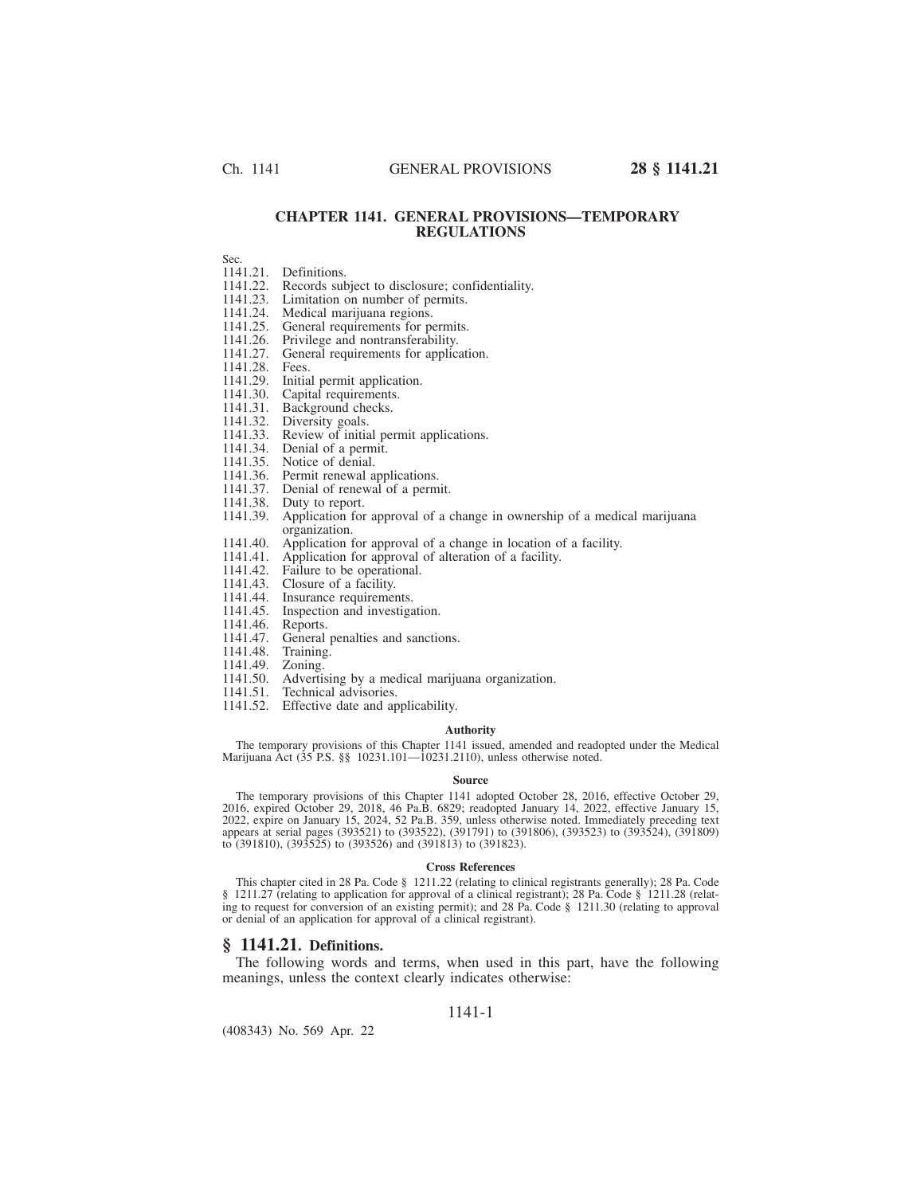## **CHAPTER 1141. GENERAL PROVISIONS—TEMPORARY REGULATIONS**

Sec.

- 1141.21. Definitions.<br>1141.22. Records sul 1141.22. Records subject to disclosure; confidentiality.<br>1141.23. Limitation on number of permits.
- 1141.23. Limitation on number of permits.<br>1141.24. Medical marijuana regions.
- 1141.24. Medical marijuana regions.<br>1141.25. General requirements for po
- 1141.25. General requirements for permits.<br>1141.26. Privilege and nontransferability.
- 1141.26. Privilege and nontransferability.<br>1141.27. General requirements for applica
- General requirements for application.<br>Fees.
- 1141.28.<br>1141.29.
- 1141.29. Initial permit application.<br>1141.30. Capital requirements.
- 1141.30. Capital requirements.<br>1141.31. Background checks.<br>1141.32. Diversity goals.
- Background checks.
- 1141.32. Diversity goals.
- 1141.33. Review of initial permit applications.
- 1141.34. Denial of a permit.<br>1141.35. Notice of denial.
- 
- 1141.35. Notice of denial.<br>1141.36. Permit renewal a
- 1141.36. Permit renewal applications.<br>1141.37. Denial of renewal of a perm Denial of renewal of a permit.
- 1141.38. Duty to report.
- 1141.39. Application for approval of a change in ownership of a medical marijuana organization.
- 1141.40. Application for approval of a change in location of a facility.
- 1141.41. Application for approval of alteration of a facility.
- 1141.42. Failure to be operational.<br>1141.43. Closure of a facility.
- 
- 1141.43. Closure of a facility.<br>1141.44. Insurance requirement 1141.44. Insurance requirements.<br>1141.45. Inspection and investiga
- Inspection and investigation.
- 
- 1141.46. Reports.<br>1141.47. General General penalties and sanctions.
- 1141.48. Training.<br>1141.49. Zoning.
- 1141.49.
- 1141.50. Advertising by a medical marijuana organization.
- 1141.51. Technical advisories.
- 1141.52. Effective date and applicability.

#### **Authority**

The temporary provisions of this Chapter 1141 issued, amended and readopted under the Medical Marijuana Act (35 P.S. §§ 10231.101—10231.2110), unless otherwise noted.

#### **Source**

The temporary provisions of this Chapter 1141 adopted October 28, 2016, effective October 29, 2016, expired October 29, 2018, 46 Pa.B. 6829; readopted January 14, 2022, effective January 15, 2022, expire on January 15, 2024, 52 Pa.B. 359, unless otherwise noted. Immediately preceding text appears at serial pages (393521) to (393522), (391791) to (391806), (393523) to (393524), (391809) to (391810), (393525) to (393526) and (391813) to (391823).

#### **Cross References**

This chapter cited in 28 Pa. Code § 1211.22 (relating to clinical registrants generally); 28 Pa. Code § 1211.27 (relating to application for approval of a clinical registrant); 28 Pa. Code § 1211.28 (relating to request for conversion of an existing permit); and 28 Pa. Code § 1211.30 (relating to approval or denial of an application for approval of a clinical registrant).

### **§ 1141.21. Definitions.**

The following words and terms, when used in this part, have the following meanings, unless the context clearly indicates otherwise:

### 1141-1

(408343) No. 569 Apr. 22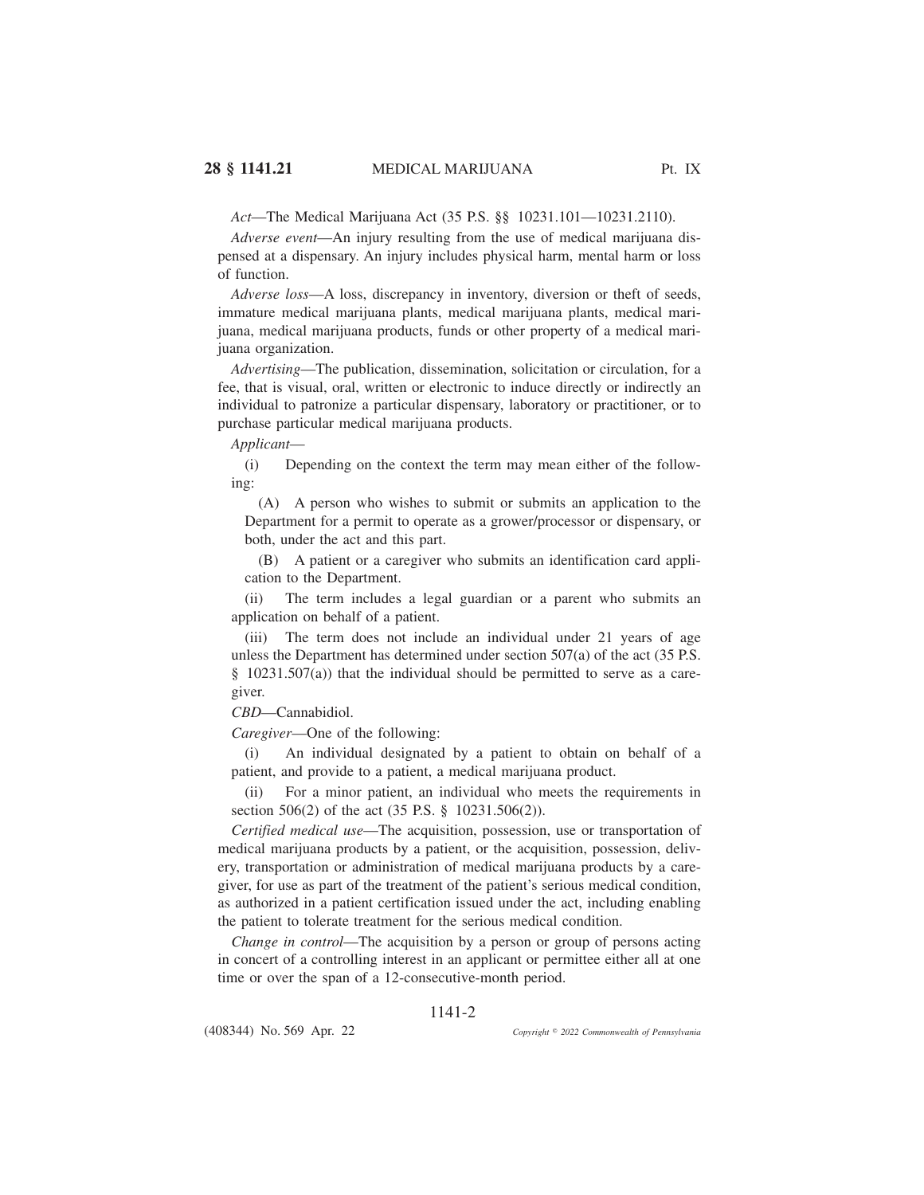*Act*—The Medical Marijuana Act (35 P.S. §§ 10231.101—10231.2110).

*Adverse event*—An injury resulting from the use of medical marijuana dispensed at a dispensary. An injury includes physical harm, mental harm or loss of function.

*Adverse loss*—A loss, discrepancy in inventory, diversion or theft of seeds, immature medical marijuana plants, medical marijuana plants, medical marijuana, medical marijuana products, funds or other property of a medical marijuana organization.

*Advertising*—The publication, dissemination, solicitation or circulation, for a fee, that is visual, oral, written or electronic to induce directly or indirectly an individual to patronize a particular dispensary, laboratory or practitioner, or to purchase particular medical marijuana products.

*Applicant*—

(i) Depending on the context the term may mean either of the following:

(A) A person who wishes to submit or submits an application to the Department for a permit to operate as a grower/processor or dispensary, or both, under the act and this part.

(B) A patient or a caregiver who submits an identification card application to the Department.

(ii) The term includes a legal guardian or a parent who submits an application on behalf of a patient.

(iii) The term does not include an individual under 21 years of age unless the Department has determined under section 507(a) of the act (35 P.S. § 10231.507(a)) that the individual should be permitted to serve as a caregiver.

*CBD*—Cannabidiol.

*Caregiver*—One of the following:

(i) An individual designated by a patient to obtain on behalf of a patient, and provide to a patient, a medical marijuana product.

(ii) For a minor patient, an individual who meets the requirements in section 506(2) of the act (35 P.S. § 10231.506(2)).

*Certified medical use*—The acquisition, possession, use or transportation of medical marijuana products by a patient, or the acquisition, possession, delivery, transportation or administration of medical marijuana products by a caregiver, for use as part of the treatment of the patient's serious medical condition, as authorized in a patient certification issued under the act, including enabling the patient to tolerate treatment for the serious medical condition.

*Change in control—The acquisition by a person or group of persons acting* in concert of a controlling interest in an applicant or permittee either all at one time or over the span of a 12-consecutive-month period.

## 1141-2

(408344) No. 569 Apr. 22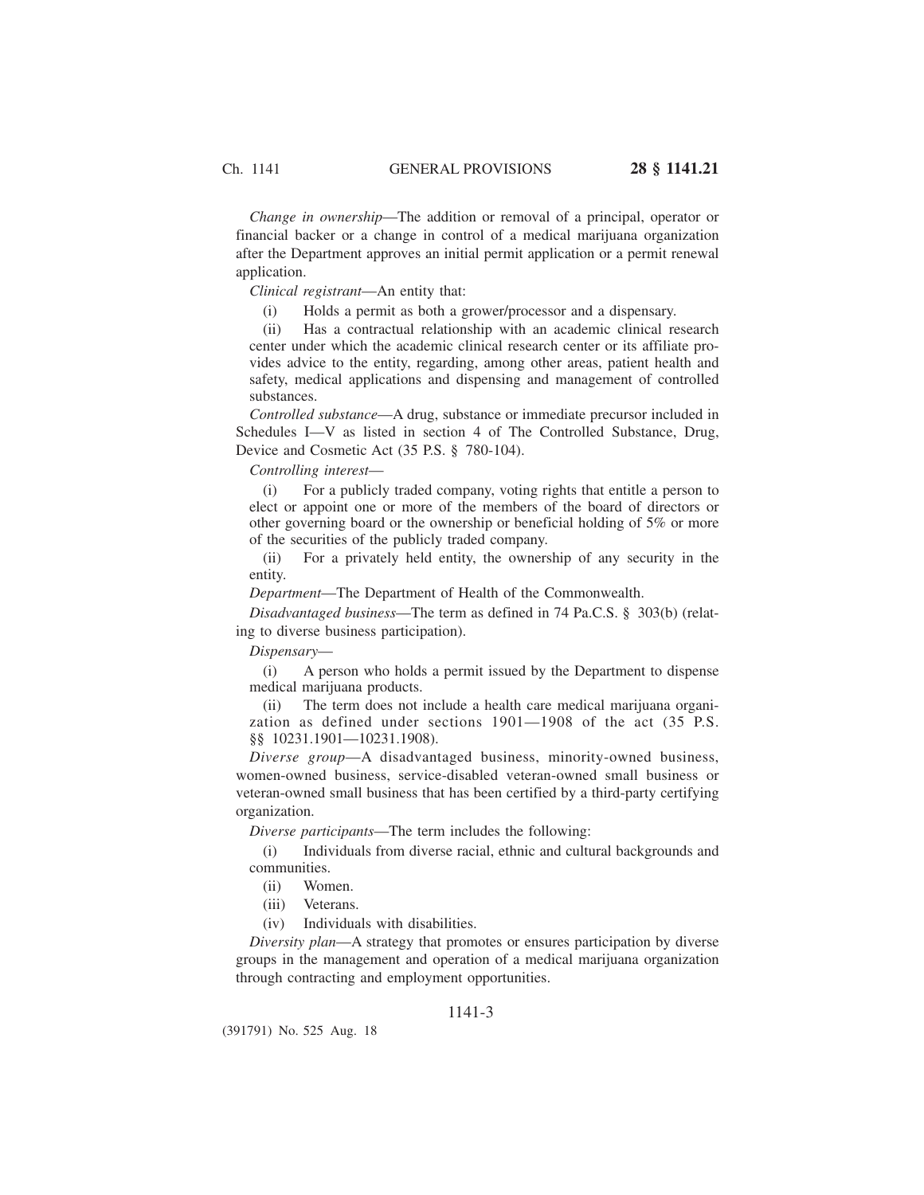*Change in ownership*—The addition or removal of a principal, operator or financial backer or a change in control of a medical marijuana organization after the Department approves an initial permit application or a permit renewal application.

*Clinical registrant*—An entity that:

(i) Holds a permit as both a grower/processor and a dispensary.

(ii) Has a contractual relationship with an academic clinical research center under which the academic clinical research center or its affiliate provides advice to the entity, regarding, among other areas, patient health and safety, medical applications and dispensing and management of controlled substances.

*Controlled substance*—A drug, substance or immediate precursor included in Schedules I—V as listed in section 4 of The Controlled Substance, Drug, Device and Cosmetic Act (35 P.S. § 780-104).

*Controlling interest*—

(i) For a publicly traded company, voting rights that entitle a person to elect or appoint one or more of the members of the board of directors or other governing board or the ownership or beneficial holding of 5% or more of the securities of the publicly traded company.

(ii) For a privately held entity, the ownership of any security in the entity.

*Department*—The Department of Health of the Commonwealth.

*Disadvantaged business*—The term as defined in 74 Pa.C.S. § 303(b) (relating to diverse business participation).

*Dispensary*—

(i) A person who holds a permit issued by the Department to dispense medical marijuana products.

(ii) The term does not include a health care medical marijuana organization as defined under sections 1901—1908 of the act (35 P.S. §§ 10231.1901—10231.1908).

*Diverse group*—A disadvantaged business, minority-owned business, women-owned business, service-disabled veteran-owned small business or veteran-owned small business that has been certified by a third-party certifying organization.

*Diverse participants*—The term includes the following:

(i) Individuals from diverse racial, ethnic and cultural backgrounds and communities.

(ii) Women.

(iii) Veterans.

(iv) Individuals with disabilities.

*Diversity plan*—A strategy that promotes or ensures participation by diverse groups in the management and operation of a medical marijuana organization through contracting and employment opportunities.

## 1141-3

(391791) No. 525 Aug. 18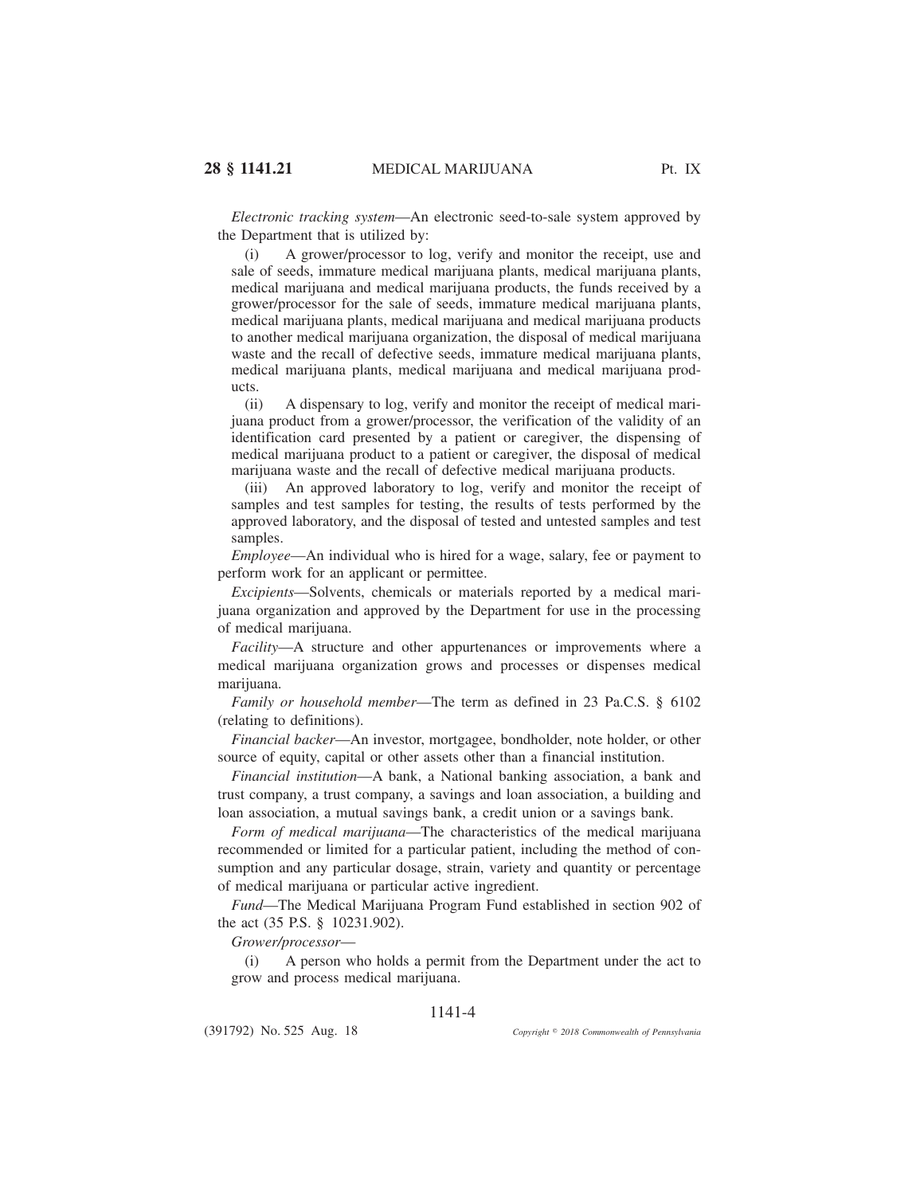*Electronic tracking system*—An electronic seed-to-sale system approved by the Department that is utilized by:

(i) A grower/processor to log, verify and monitor the receipt, use and sale of seeds, immature medical marijuana plants, medical marijuana plants, medical marijuana and medical marijuana products, the funds received by a grower/processor for the sale of seeds, immature medical marijuana plants, medical marijuana plants, medical marijuana and medical marijuana products to another medical marijuana organization, the disposal of medical marijuana waste and the recall of defective seeds, immature medical marijuana plants, medical marijuana plants, medical marijuana and medical marijuana products.

(ii) A dispensary to log, verify and monitor the receipt of medical marijuana product from a grower/processor, the verification of the validity of an identification card presented by a patient or caregiver, the dispensing of medical marijuana product to a patient or caregiver, the disposal of medical marijuana waste and the recall of defective medical marijuana products.

(iii) An approved laboratory to log, verify and monitor the receipt of samples and test samples for testing, the results of tests performed by the approved laboratory, and the disposal of tested and untested samples and test samples.

*Employee*—An individual who is hired for a wage, salary, fee or payment to perform work for an applicant or permittee.

*Excipients*—Solvents, chemicals or materials reported by a medical marijuana organization and approved by the Department for use in the processing of medical marijuana.

*Facility*—A structure and other appurtenances or improvements where a medical marijuana organization grows and processes or dispenses medical marijuana.

*Family or household member*—The term as defined in 23 Pa.C.S. § 6102 (relating to definitions).

*Financial backer*—An investor, mortgagee, bondholder, note holder, or other source of equity, capital or other assets other than a financial institution.

*Financial institution*—A bank, a National banking association, a bank and trust company, a trust company, a savings and loan association, a building and loan association, a mutual savings bank, a credit union or a savings bank.

*Form of medical marijuana*—The characteristics of the medical marijuana recommended or limited for a particular patient, including the method of consumption and any particular dosage, strain, variety and quantity or percentage of medical marijuana or particular active ingredient.

*Fund*—The Medical Marijuana Program Fund established in section 902 of the act (35 P.S. § 10231.902).

*Grower/processor*—

(i) A person who holds a permit from the Department under the act to grow and process medical marijuana.

## 1141-4

(391792) No. 525 Aug. 18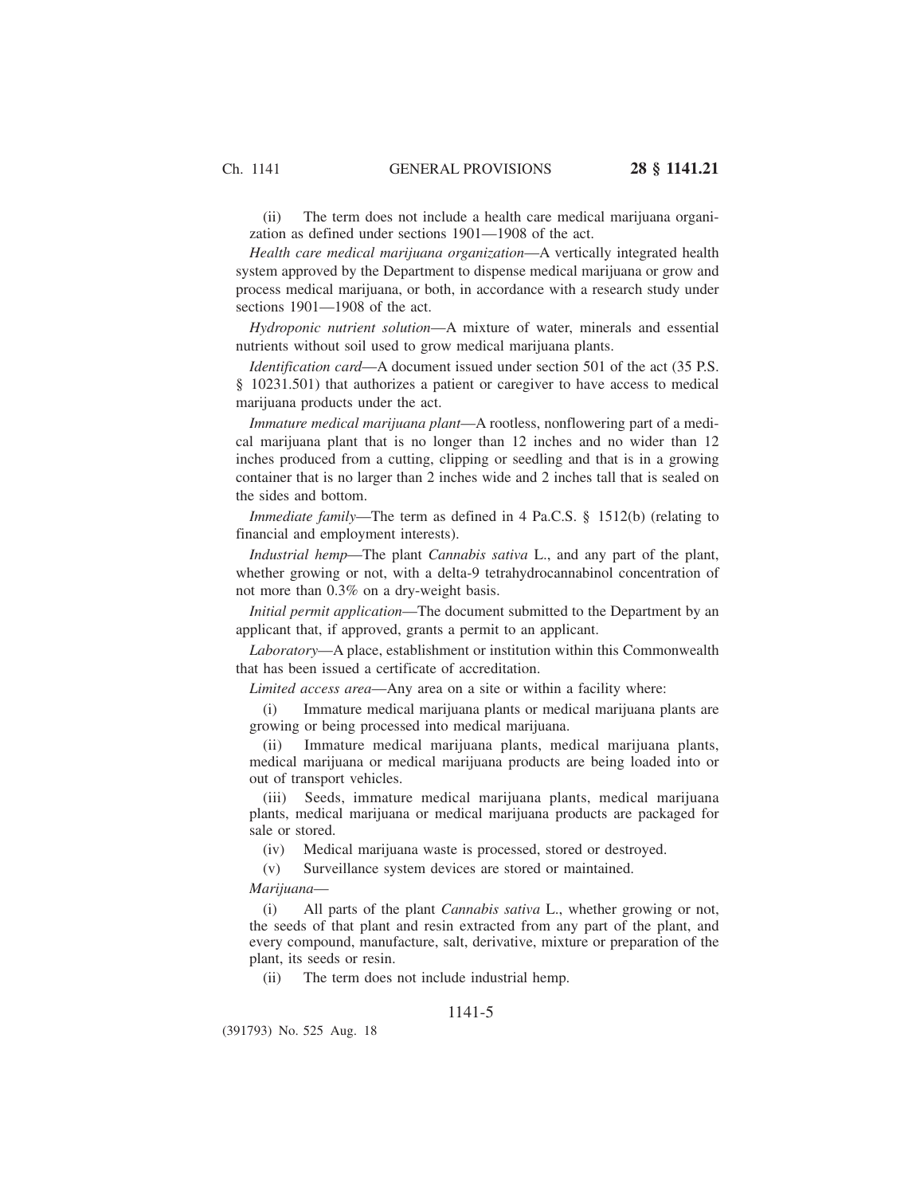(ii) The term does not include a health care medical marijuana organization as defined under sections 1901—1908 of the act.

*Health care medical marijuana organization*—A vertically integrated health system approved by the Department to dispense medical marijuana or grow and process medical marijuana, or both, in accordance with a research study under sections 1901—1908 of the act.

*Hydroponic nutrient solution*—A mixture of water, minerals and essential nutrients without soil used to grow medical marijuana plants.

*Identification card*—A document issued under section 501 of the act (35 P.S. § 10231.501) that authorizes a patient or caregiver to have access to medical marijuana products under the act.

*Immature medical marijuana plant*—A rootless, nonflowering part of a medical marijuana plant that is no longer than 12 inches and no wider than 12 inches produced from a cutting, clipping or seedling and that is in a growing container that is no larger than 2 inches wide and 2 inches tall that is sealed on the sides and bottom.

*Immediate family*—The term as defined in 4 Pa.C.S. § 1512(b) (relating to financial and employment interests).

*Industrial hemp*—The plant *Cannabis sativa* L., and any part of the plant, whether growing or not, with a delta-9 tetrahydrocannabinol concentration of not more than 0.3% on a dry-weight basis.

*Initial permit application*—The document submitted to the Department by an applicant that, if approved, grants a permit to an applicant.

*Laboratory*—A place, establishment or institution within this Commonwealth that has been issued a certificate of accreditation.

*Limited access area*—Any area on a site or within a facility where:

(i) Immature medical marijuana plants or medical marijuana plants are growing or being processed into medical marijuana.

(ii) Immature medical marijuana plants, medical marijuana plants, medical marijuana or medical marijuana products are being loaded into or out of transport vehicles.

(iii) Seeds, immature medical marijuana plants, medical marijuana plants, medical marijuana or medical marijuana products are packaged for sale or stored.

(iv) Medical marijuana waste is processed, stored or destroyed.

(v) Surveillance system devices are stored or maintained.

*Marijuana*—

(i) All parts of the plant *Cannabis sativa* L., whether growing or not, the seeds of that plant and resin extracted from any part of the plant, and every compound, manufacture, salt, derivative, mixture or preparation of the plant, its seeds or resin.

(ii) The term does not include industrial hemp.

## 1141-5

(391793) No. 525 Aug. 18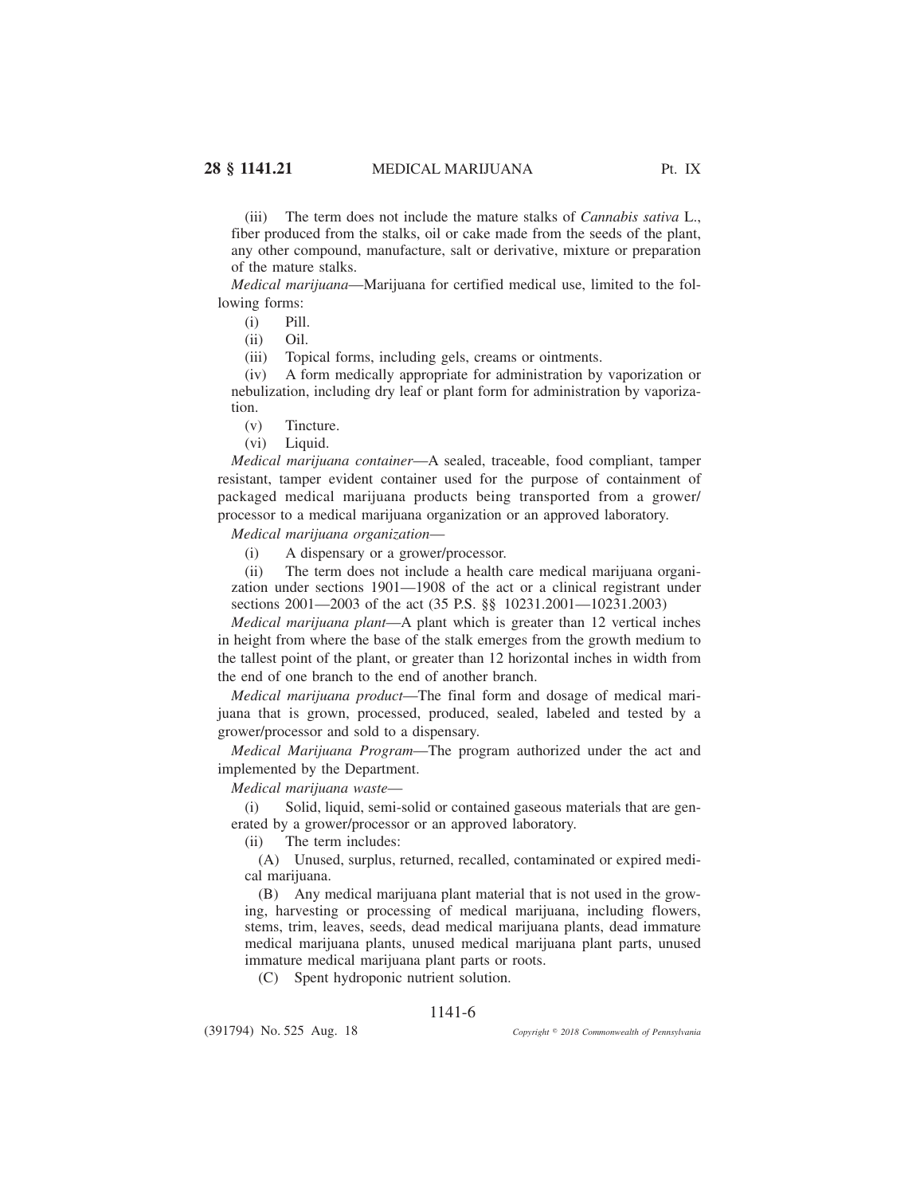(iii) The term does not include the mature stalks of *Cannabis sativa* L., fiber produced from the stalks, oil or cake made from the seeds of the plant, any other compound, manufacture, salt or derivative, mixture or preparation of the mature stalks.

*Medical marijuana*—Marijuana for certified medical use, limited to the following forms:

(i) Pill.

(ii) Oil.

(iii) Topical forms, including gels, creams or ointments.

(iv) A form medically appropriate for administration by vaporization or nebulization, including dry leaf or plant form for administration by vaporization.

(v) Tincture.

(vi) Liquid.

*Medical marijuana container*—A sealed, traceable, food compliant, tamper resistant, tamper evident container used for the purpose of containment of packaged medical marijuana products being transported from a grower/ processor to a medical marijuana organization or an approved laboratory.

*Medical marijuana organization*—

(i) A dispensary or a grower/processor.

(ii) The term does not include a health care medical marijuana organization under sections 1901—1908 of the act or a clinical registrant under sections 2001—2003 of the act (35 P.S. §§ 10231.2001—10231.2003)

*Medical marijuana plant*—A plant which is greater than 12 vertical inches in height from where the base of the stalk emerges from the growth medium to the tallest point of the plant, or greater than 12 horizontal inches in width from the end of one branch to the end of another branch.

*Medical marijuana product*—The final form and dosage of medical marijuana that is grown, processed, produced, sealed, labeled and tested by a grower/processor and sold to a dispensary.

*Medical Marijuana Program*—The program authorized under the act and implemented by the Department.

*Medical marijuana waste*—

(i) Solid, liquid, semi-solid or contained gaseous materials that are generated by a grower/processor or an approved laboratory.

(ii) The term includes:

(A) Unused, surplus, returned, recalled, contaminated or expired medical marijuana.

(B) Any medical marijuana plant material that is not used in the growing, harvesting or processing of medical marijuana, including flowers, stems, trim, leaves, seeds, dead medical marijuana plants, dead immature medical marijuana plants, unused medical marijuana plant parts, unused immature medical marijuana plant parts or roots.

(C) Spent hydroponic nutrient solution.

## 1141-6

(391794) No. 525 Aug. 18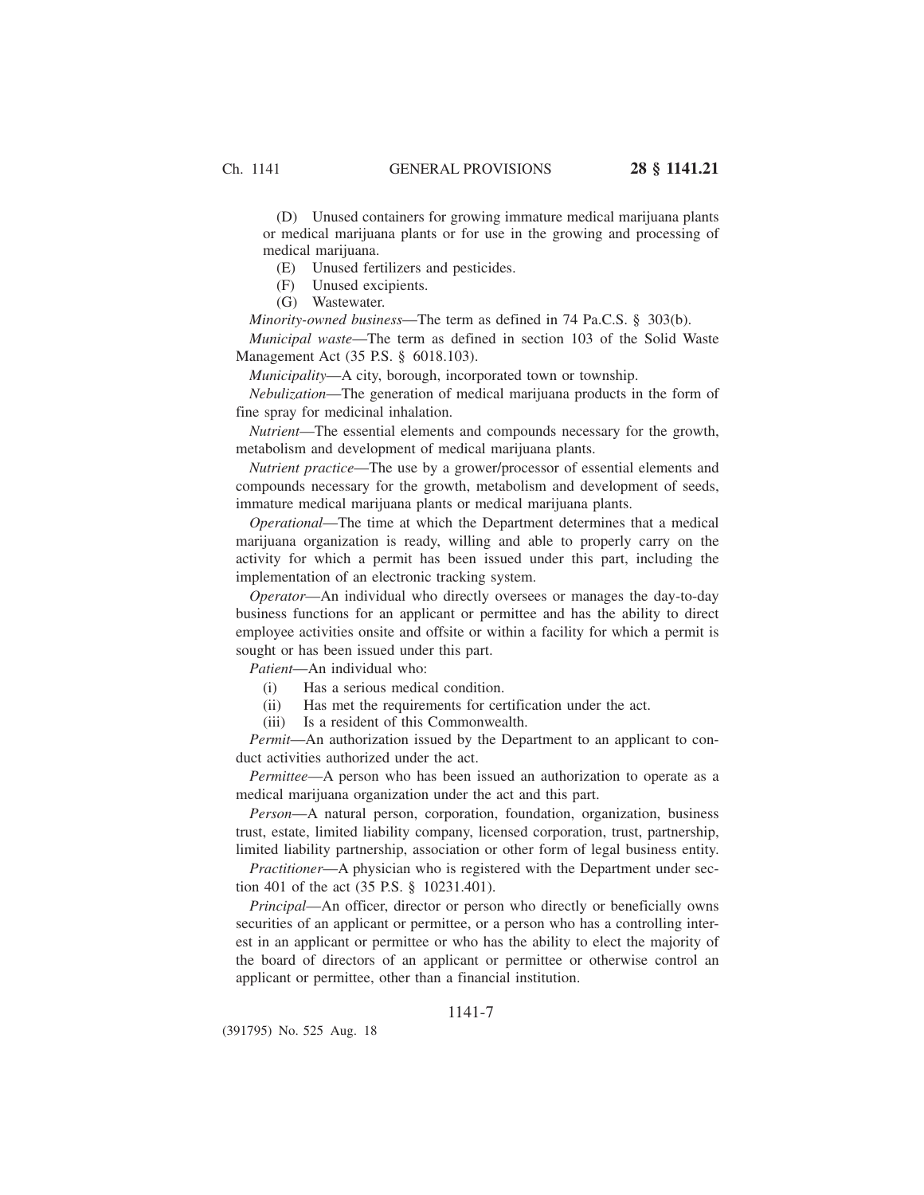(D) Unused containers for growing immature medical marijuana plants or medical marijuana plants or for use in the growing and processing of medical marijuana.

(E) Unused fertilizers and pesticides.

(F) Unused excipients.

(G) Wastewater.

*Minority-owned business*—The term as defined in 74 Pa.C.S. § 303(b). *Municipal waste*—The term as defined in section 103 of the Solid Waste Management Act (35 P.S. § 6018.103).

*Municipality*—A city, borough, incorporated town or township.

*Nebulization*—The generation of medical marijuana products in the form of fine spray for medicinal inhalation.

*Nutrient*—The essential elements and compounds necessary for the growth, metabolism and development of medical marijuana plants.

*Nutrient practice*—The use by a grower/processor of essential elements and compounds necessary for the growth, metabolism and development of seeds, immature medical marijuana plants or medical marijuana plants.

*Operational*—The time at which the Department determines that a medical marijuana organization is ready, willing and able to properly carry on the activity for which a permit has been issued under this part, including the implementation of an electronic tracking system.

*Operator*—An individual who directly oversees or manages the day-to-day business functions for an applicant or permittee and has the ability to direct employee activities onsite and offsite or within a facility for which a permit is sought or has been issued under this part.

*Patient*—An individual who:

- (i) Has a serious medical condition.
- (ii) Has met the requirements for certification under the act.
- (iii) Is a resident of this Commonwealth.

*Permit*—An authorization issued by the Department to an applicant to conduct activities authorized under the act.

*Permittee*—A person who has been issued an authorization to operate as a medical marijuana organization under the act and this part.

*Person*—A natural person, corporation, foundation, organization, business trust, estate, limited liability company, licensed corporation, trust, partnership, limited liability partnership, association or other form of legal business entity.

*Practitioner*—A physician who is registered with the Department under section 401 of the act (35 P.S. § 10231.401).

*Principal*—An officer, director or person who directly or beneficially owns securities of an applicant or permittee, or a person who has a controlling interest in an applicant or permittee or who has the ability to elect the majority of the board of directors of an applicant or permittee or otherwise control an applicant or permittee, other than a financial institution.

## 1141-7

(391795) No. 525 Aug. 18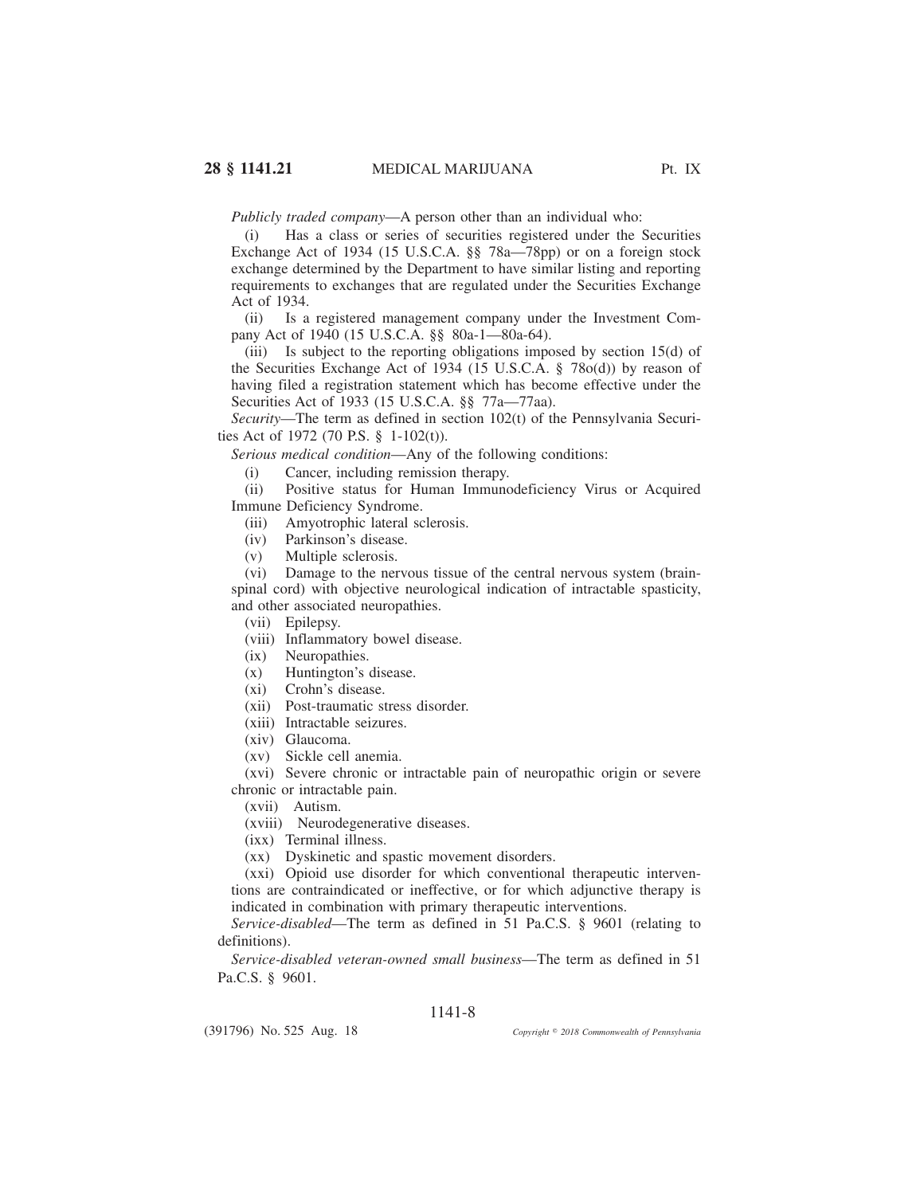*Publicly traded company*—A person other than an individual who:

(i) Has a class or series of securities registered under the Securities Exchange Act of 1934 (15 U.S.C.A. §§ 78a—78pp) or on a foreign stock exchange determined by the Department to have similar listing and reporting requirements to exchanges that are regulated under the Securities Exchange Act of 1934.

(ii) Is a registered management company under the Investment Company Act of 1940 (15 U.S.C.A. §§ 80a-1—80a-64).

(iii) Is subject to the reporting obligations imposed by section 15(d) of the Securities Exchange Act of 1934 (15 U.S.C.A. § 78o(d)) by reason of having filed a registration statement which has become effective under the Securities Act of 1933 (15 U.S.C.A. §§ 77a—77aa).

*Security*—The term as defined in section 102(t) of the Pennsylvania Securities Act of 1972 (70 P.S. § 1-102(t)).

*Serious medical condition*—Any of the following conditions:

(i) Cancer, including remission therapy.

(ii) Positive status for Human Immunodeficiency Virus or Acquired Immune Deficiency Syndrome.

(iii) Amyotrophic lateral sclerosis.

- (iv) Parkinson's disease.
- (v) Multiple sclerosis.

(vi) Damage to the nervous tissue of the central nervous system (brainspinal cord) with objective neurological indication of intractable spasticity, and other associated neuropathies.

(vii) Epilepsy.

- (viii) Inflammatory bowel disease.
- (ix) Neuropathies.
- (x) Huntington's disease.
- (xi) Crohn's disease.
- (xii) Post-traumatic stress disorder.
- (xiii) Intractable seizures.
- (xiv) Glaucoma.
- (xv) Sickle cell anemia.

(xvi) Severe chronic or intractable pain of neuropathic origin or severe chronic or intractable pain.

(xvii) Autism.

- (xviii) Neurodegenerative diseases.
- (ixx) Terminal illness.
- (xx) Dyskinetic and spastic movement disorders.

(xxi) Opioid use disorder for which conventional therapeutic interventions are contraindicated or ineffective, or for which adjunctive therapy is indicated in combination with primary therapeutic interventions.

*Service-disabled*—The term as defined in 51 Pa.C.S. § 9601 (relating to definitions).

*Service-disabled veteran-owned small business*—The term as defined in 51 Pa.C.S. § 9601.

# 1141-8

(391796) No. 525 Aug. 18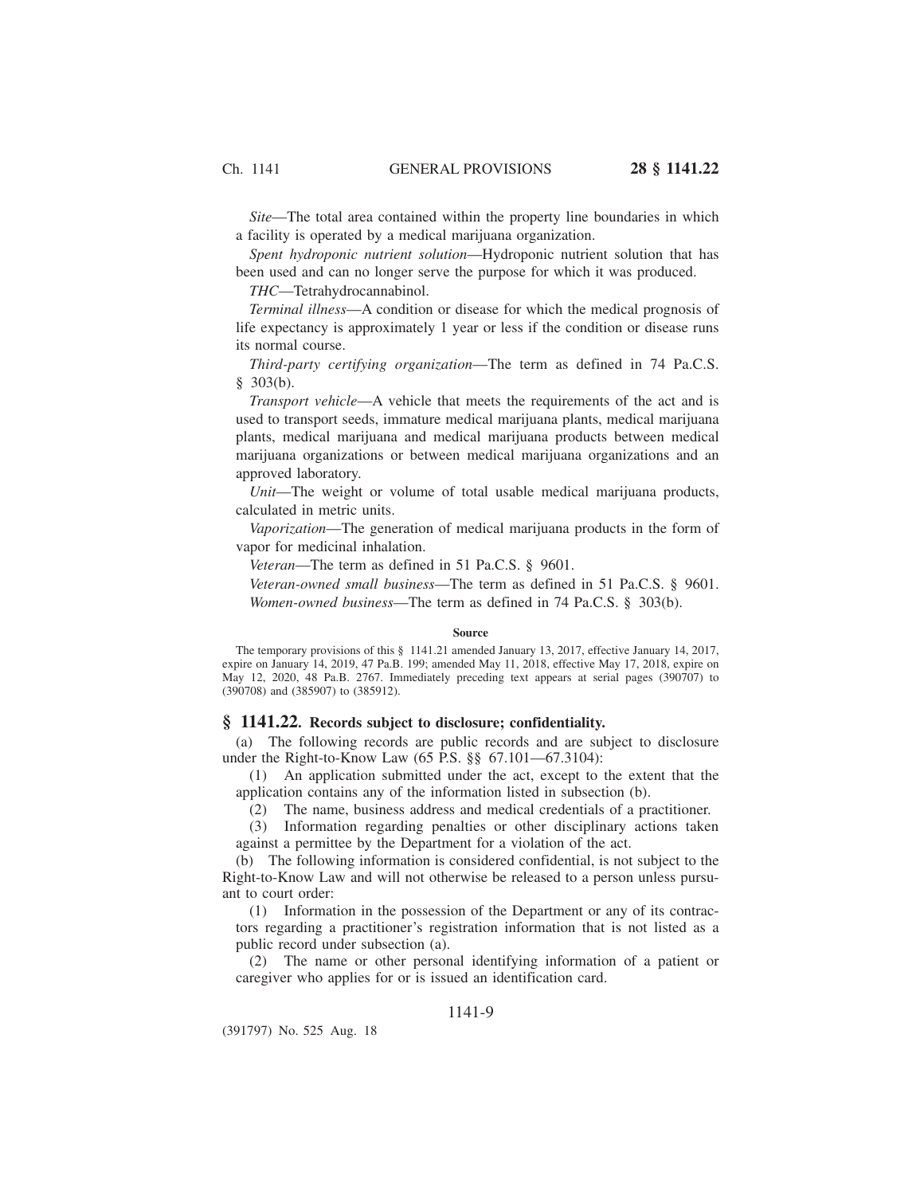*Site*—The total area contained within the property line boundaries in which a facility is operated by a medical marijuana organization.

*Spent hydroponic nutrient solution*—Hydroponic nutrient solution that has been used and can no longer serve the purpose for which it was produced.

*THC*—Tetrahydrocannabinol.

*Terminal illness*—A condition or disease for which the medical prognosis of life expectancy is approximately 1 year or less if the condition or disease runs its normal course.

*Third-party certifying organization*—The term as defined in 74 Pa.C.S. § 303(b).

*Transport vehicle*—A vehicle that meets the requirements of the act and is used to transport seeds, immature medical marijuana plants, medical marijuana plants, medical marijuana and medical marijuana products between medical marijuana organizations or between medical marijuana organizations and an approved laboratory.

*Unit*—The weight or volume of total usable medical marijuana products, calculated in metric units.

*Vaporization*—The generation of medical marijuana products in the form of vapor for medicinal inhalation.

*Veteran*—The term as defined in 51 Pa.C.S. § 9601.

*Veteran-owned small business*—The term as defined in 51 Pa.C.S. § 9601. *Women-owned business*—The term as defined in 74 Pa.C.S. § 303(b).

### **Source**

The temporary provisions of this § 1141.21 amended January 13, 2017, effective January 14, 2017, expire on January 14, 2019, 47 Pa.B. 199; amended May 11, 2018, effective May 17, 2018, expire on May 12, 2020, 48 Pa.B. 2767. Immediately preceding text appears at serial pages (390707) to (390708) and (385907) to (385912).

## **§ 1141.22. Records subject to disclosure; confidentiality.**

(a) The following records are public records and are subject to disclosure under the Right-to-Know Law (65 P.S. §§ 67.101—67.3104):

(1) An application submitted under the act, except to the extent that the application contains any of the information listed in subsection (b).

(2) The name, business address and medical credentials of a practitioner.

(3) Information regarding penalties or other disciplinary actions taken against a permittee by the Department for a violation of the act.

(b) The following information is considered confidential, is not subject to the Right-to-Know Law and will not otherwise be released to a person unless pursuant to court order:

(1) Information in the possession of the Department or any of its contractors regarding a practitioner's registration information that is not listed as a public record under subsection (a).

(2) The name or other personal identifying information of a patient or caregiver who applies for or is issued an identification card.

## 1141-9

(391797) No. 525 Aug. 18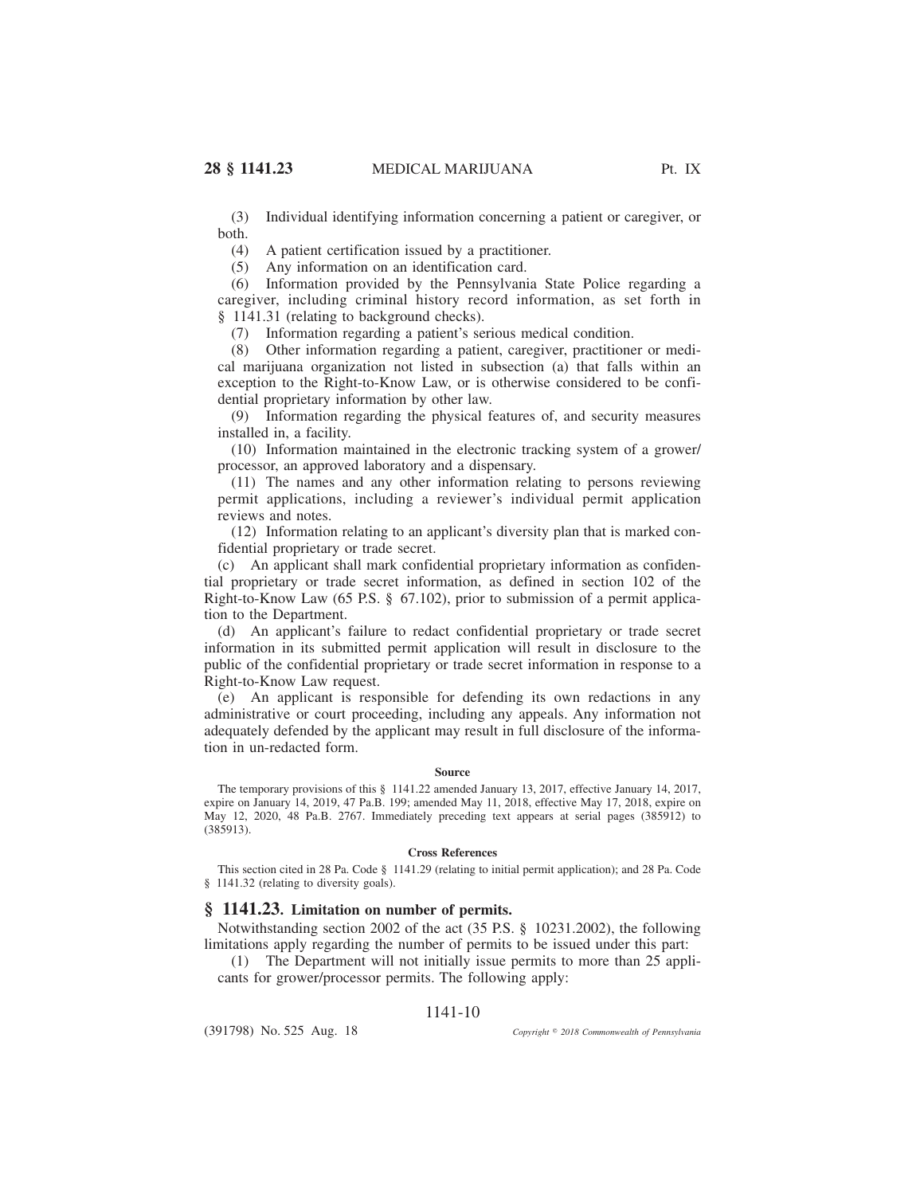(3) Individual identifying information concerning a patient or caregiver, or both.

(4) A patient certification issued by a practitioner.

(5) Any information on an identification card.

(6) Information provided by the Pennsylvania State Police regarding a caregiver, including criminal history record information, as set forth in § 1141.31 (relating to background checks).

(7) Information regarding a patient's serious medical condition.

(8) Other information regarding a patient, caregiver, practitioner or medical marijuana organization not listed in subsection (a) that falls within an exception to the Right-to-Know Law, or is otherwise considered to be confidential proprietary information by other law.

(9) Information regarding the physical features of, and security measures installed in, a facility.

(10) Information maintained in the electronic tracking system of a grower/ processor, an approved laboratory and a dispensary.

(11) The names and any other information relating to persons reviewing permit applications, including a reviewer's individual permit application reviews and notes.

(12) Information relating to an applicant's diversity plan that is marked confidential proprietary or trade secret.

(c) An applicant shall mark confidential proprietary information as confidential proprietary or trade secret information, as defined in section 102 of the Right-to-Know Law (65 P.S. § 67.102), prior to submission of a permit application to the Department.

(d) An applicant's failure to redact confidential proprietary or trade secret information in its submitted permit application will result in disclosure to the public of the confidential proprietary or trade secret information in response to a Right-to-Know Law request.

(e) An applicant is responsible for defending its own redactions in any administrative or court proceeding, including any appeals. Any information not adequately defended by the applicant may result in full disclosure of the information in un-redacted form.

### **Source**

The temporary provisions of this § 1141.22 amended January 13, 2017, effective January 14, 2017, expire on January 14, 2019, 47 Pa.B. 199; amended May 11, 2018, effective May 17, 2018, expire on May 12, 2020, 48 Pa.B. 2767. Immediately preceding text appears at serial pages (385912) to (385913).

### **Cross References**

This section cited in 28 Pa. Code § 1141.29 (relating to initial permit application); and 28 Pa. Code § 1141.32 (relating to diversity goals).

### **§ 1141.23. Limitation on number of permits.**

Notwithstanding section 2002 of the act (35 P.S. § 10231.2002), the following limitations apply regarding the number of permits to be issued under this part:

(1) The Department will not initially issue permits to more than 25 applicants for grower/processor permits. The following apply:

### 1141-10

(391798) No. 525 Aug. 18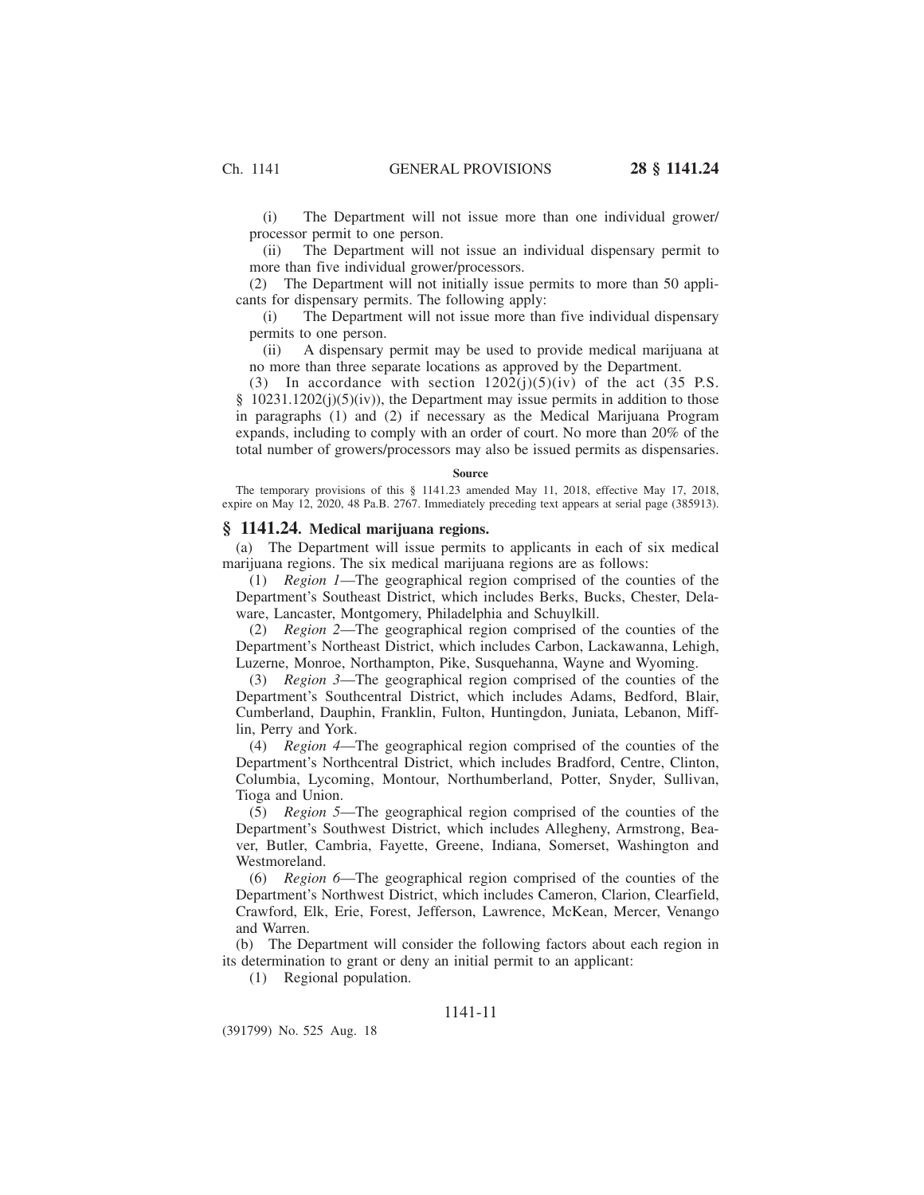(i) The Department will not issue more than one individual grower/ processor permit to one person.

(ii) The Department will not issue an individual dispensary permit to more than five individual grower/processors.

(2) The Department will not initially issue permits to more than 50 applicants for dispensary permits. The following apply:

(i) The Department will not issue more than five individual dispensary permits to one person.

(ii) A dispensary permit may be used to provide medical marijuana at no more than three separate locations as approved by the Department.

(3) In accordance with section  $1202(i)(5)(iv)$  of the act (35 P.S.  $§$  10231.1202(j)(5)(iv)), the Department may issue permits in addition to those in paragraphs (1) and (2) if necessary as the Medical Marijuana Program expands, including to comply with an order of court. No more than 20% of the total number of growers/processors may also be issued permits as dispensaries.

#### **Source**

The temporary provisions of this § 1141.23 amended May 11, 2018, effective May 17, 2018, expire on May 12, 2020, 48 Pa.B. 2767. Immediately preceding text appears at serial page (385913).

### **§ 1141.24. Medical marijuana regions.**

(a) The Department will issue permits to applicants in each of six medical marijuana regions. The six medical marijuana regions are as follows:

(1) *Region 1*—The geographical region comprised of the counties of the Department's Southeast District, which includes Berks, Bucks, Chester, Delaware, Lancaster, Montgomery, Philadelphia and Schuylkill.

(2) *Region 2*—The geographical region comprised of the counties of the Department's Northeast District, which includes Carbon, Lackawanna, Lehigh, Luzerne, Monroe, Northampton, Pike, Susquehanna, Wayne and Wyoming.

(3) *Region 3*—The geographical region comprised of the counties of the Department's Southcentral District, which includes Adams, Bedford, Blair, Cumberland, Dauphin, Franklin, Fulton, Huntingdon, Juniata, Lebanon, Mifflin, Perry and York.

(4) *Region 4*—The geographical region comprised of the counties of the Department's Northcentral District, which includes Bradford, Centre, Clinton, Columbia, Lycoming, Montour, Northumberland, Potter, Snyder, Sullivan, Tioga and Union.

(5) *Region 5*—The geographical region comprised of the counties of the Department's Southwest District, which includes Allegheny, Armstrong, Beaver, Butler, Cambria, Fayette, Greene, Indiana, Somerset, Washington and Westmoreland.

(6) *Region 6*—The geographical region comprised of the counties of the Department's Northwest District, which includes Cameron, Clarion, Clearfield, Crawford, Elk, Erie, Forest, Jefferson, Lawrence, McKean, Mercer, Venango and Warren.

(b) The Department will consider the following factors about each region in its determination to grant or deny an initial permit to an applicant:

(1) Regional population.

## 1141-11

(391799) No. 525 Aug. 18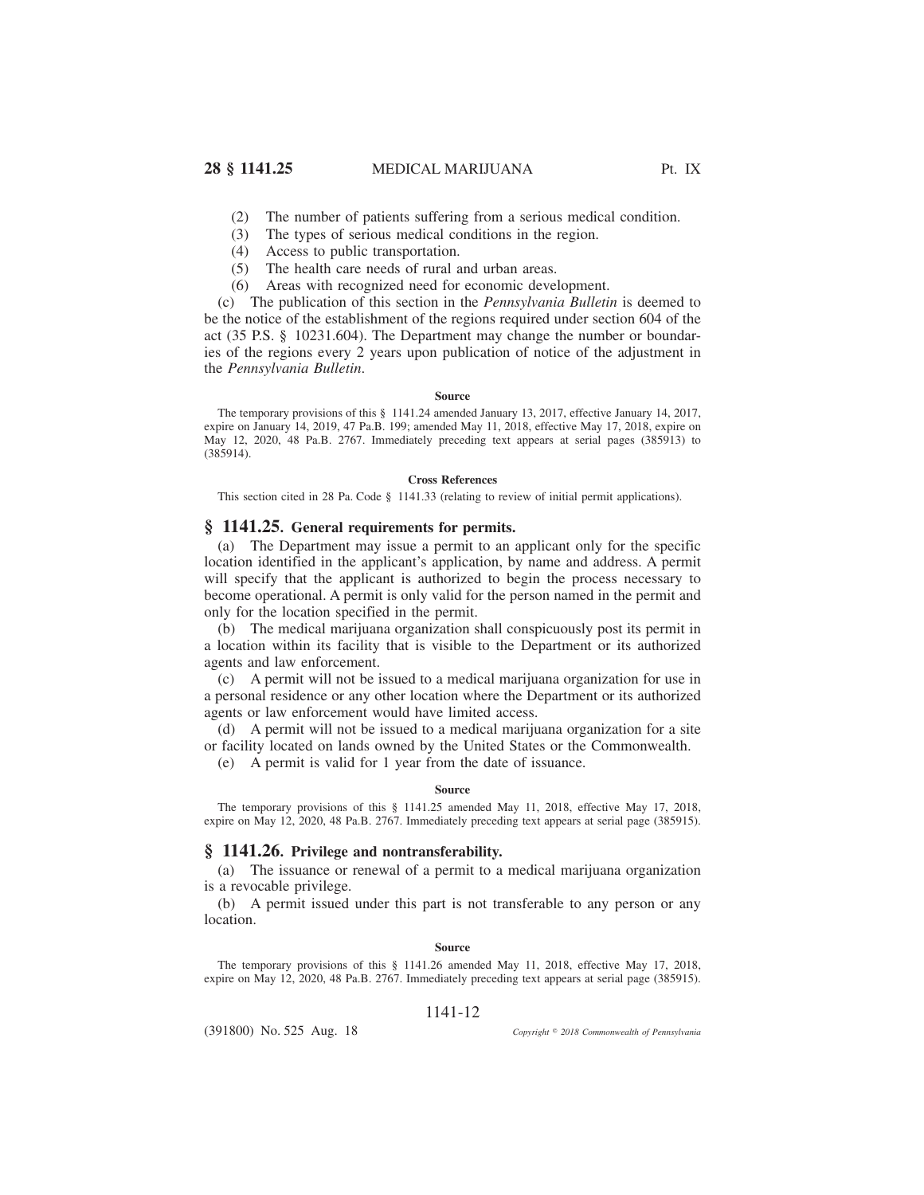- (2) The number of patients suffering from a serious medical condition.
- (3) The types of serious medical conditions in the region.
- (4) Access to public transportation.
- (5) The health care needs of rural and urban areas.
- (6) Areas with recognized need for economic development.

(c) The publication of this section in the *Pennsylvania Bulletin* is deemed to be the notice of the establishment of the regions required under section 604 of the act (35 P.S. § 10231.604). The Department may change the number or boundaries of the regions every 2 years upon publication of notice of the adjustment in the *Pennsylvania Bulletin*.

### **Source**

The temporary provisions of this § 1141.24 amended January 13, 2017, effective January 14, 2017, expire on January 14, 2019, 47 Pa.B. 199; amended May 11, 2018, effective May 17, 2018, expire on May 12, 2020, 48 Pa.B. 2767. Immediately preceding text appears at serial pages (385913) to (385914).

### **Cross References**

This section cited in 28 Pa. Code § 1141.33 (relating to review of initial permit applications).

## **§ 1141.25. General requirements for permits.**

(a) The Department may issue a permit to an applicant only for the specific location identified in the applicant's application, by name and address. A permit will specify that the applicant is authorized to begin the process necessary to become operational. A permit is only valid for the person named in the permit and only for the location specified in the permit.

(b) The medical marijuana organization shall conspicuously post its permit in a location within its facility that is visible to the Department or its authorized agents and law enforcement.

(c) A permit will not be issued to a medical marijuana organization for use in a personal residence or any other location where the Department or its authorized agents or law enforcement would have limited access.

(d) A permit will not be issued to a medical marijuana organization for a site or facility located on lands owned by the United States or the Commonwealth.

(e) A permit is valid for 1 year from the date of issuance.

#### **Source**

The temporary provisions of this § 1141.25 amended May 11, 2018, effective May 17, 2018, expire on May 12, 2020, 48 Pa.B. 2767. Immediately preceding text appears at serial page (385915).

### **§ 1141.26. Privilege and nontransferability.**

(a) The issuance or renewal of a permit to a medical marijuana organization is a revocable privilege.

(b) A permit issued under this part is not transferable to any person or any location.

#### **Source**

The temporary provisions of this § 1141.26 amended May 11, 2018, effective May 17, 2018, expire on May 12, 2020, 48 Pa.B. 2767. Immediately preceding text appears at serial page (385915).

### 1141-12

(391800) No. 525 Aug. 18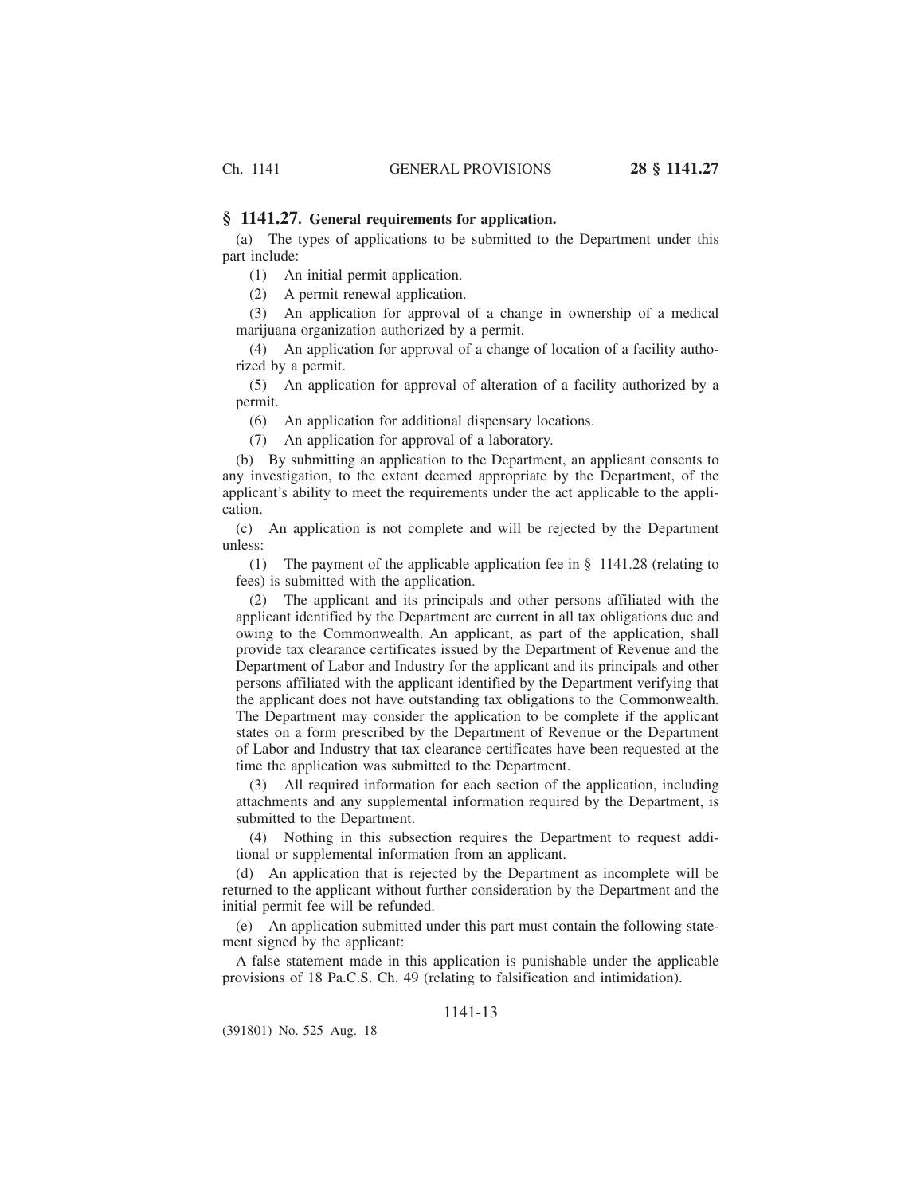### **§ 1141.27. General requirements for application.**

(a) The types of applications to be submitted to the Department under this part include:

(1) An initial permit application.

(2) A permit renewal application.

(3) An application for approval of a change in ownership of a medical marijuana organization authorized by a permit.

(4) An application for approval of a change of location of a facility authorized by a permit.

(5) An application for approval of alteration of a facility authorized by a permit.

(6) An application for additional dispensary locations.

(7) An application for approval of a laboratory.

(b) By submitting an application to the Department, an applicant consents to any investigation, to the extent deemed appropriate by the Department, of the applicant's ability to meet the requirements under the act applicable to the application.

(c) An application is not complete and will be rejected by the Department unless:

(1) The payment of the applicable application fee in § 1141.28 (relating to fees) is submitted with the application.

(2) The applicant and its principals and other persons affiliated with the applicant identified by the Department are current in all tax obligations due and owing to the Commonwealth. An applicant, as part of the application, shall provide tax clearance certificates issued by the Department of Revenue and the Department of Labor and Industry for the applicant and its principals and other persons affiliated with the applicant identified by the Department verifying that the applicant does not have outstanding tax obligations to the Commonwealth. The Department may consider the application to be complete if the applicant states on a form prescribed by the Department of Revenue or the Department of Labor and Industry that tax clearance certificates have been requested at the time the application was submitted to the Department.

(3) All required information for each section of the application, including attachments and any supplemental information required by the Department, is submitted to the Department.

(4) Nothing in this subsection requires the Department to request additional or supplemental information from an applicant.

(d) An application that is rejected by the Department as incomplete will be returned to the applicant without further consideration by the Department and the initial permit fee will be refunded.

(e) An application submitted under this part must contain the following statement signed by the applicant:

A false statement made in this application is punishable under the applicable provisions of 18 Pa.C.S. Ch. 49 (relating to falsification and intimidation).

## 1141-13

(391801) No. 525 Aug. 18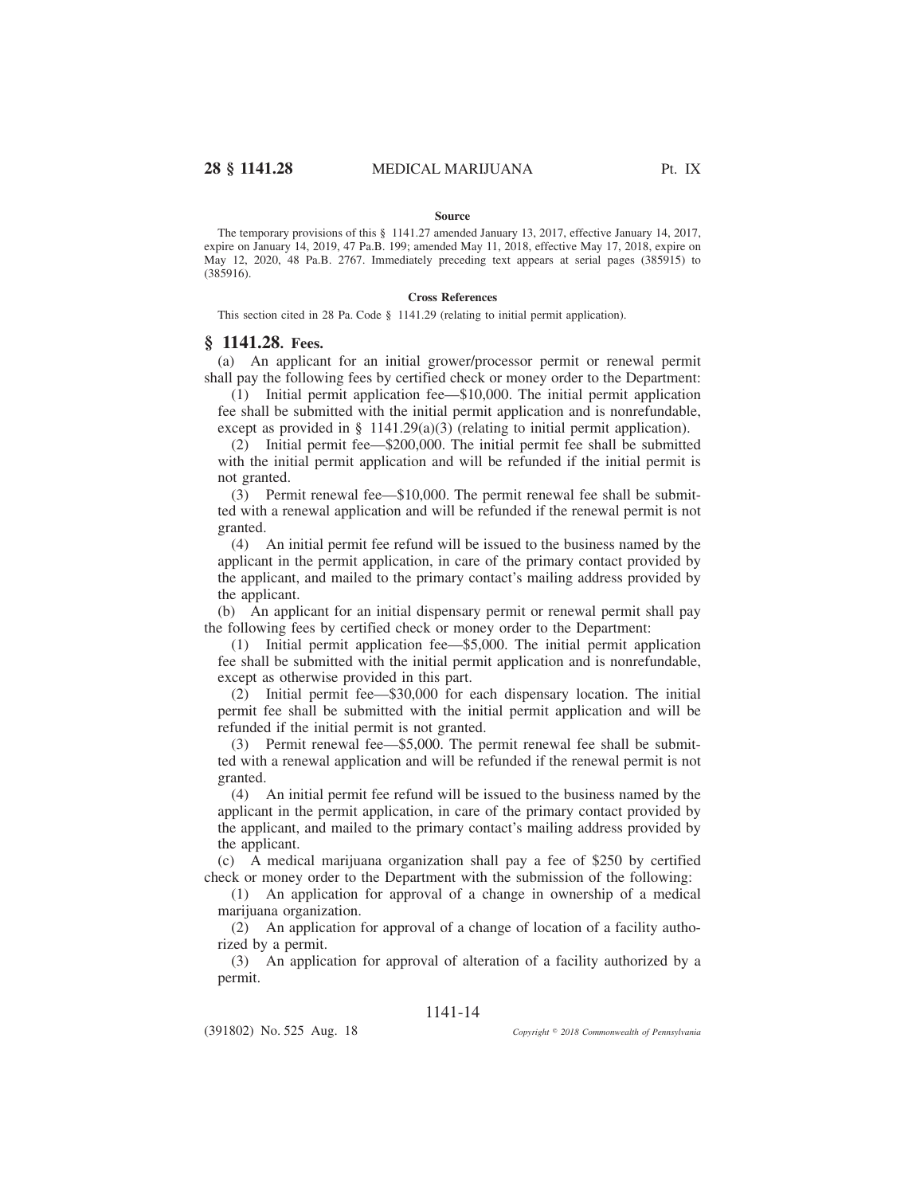#### **Source**

The temporary provisions of this § 1141.27 amended January 13, 2017, effective January 14, 2017, expire on January 14, 2019, 47 Pa.B. 199; amended May 11, 2018, effective May 17, 2018, expire on May 12, 2020, 48 Pa.B. 2767. Immediately preceding text appears at serial pages (385915) to (385916).

### **Cross References**

This section cited in 28 Pa. Code § 1141.29 (relating to initial permit application).

### **§ 1141.28. Fees.**

(a) An applicant for an initial grower/processor permit or renewal permit shall pay the following fees by certified check or money order to the Department:

(1) Initial permit application fee—\$10,000. The initial permit application fee shall be submitted with the initial permit application and is nonrefundable, except as provided in §  $1141.29(a)(3)$  (relating to initial permit application).

(2) Initial permit fee—\$200,000. The initial permit fee shall be submitted with the initial permit application and will be refunded if the initial permit is not granted.

(3) Permit renewal fee—\$10,000. The permit renewal fee shall be submitted with a renewal application and will be refunded if the renewal permit is not granted.

(4) An initial permit fee refund will be issued to the business named by the applicant in the permit application, in care of the primary contact provided by the applicant, and mailed to the primary contact's mailing address provided by the applicant.

(b) An applicant for an initial dispensary permit or renewal permit shall pay the following fees by certified check or money order to the Department:

(1) Initial permit application fee—\$5,000. The initial permit application fee shall be submitted with the initial permit application and is nonrefundable, except as otherwise provided in this part.

(2) Initial permit fee—\$30,000 for each dispensary location. The initial permit fee shall be submitted with the initial permit application and will be refunded if the initial permit is not granted.

(3) Permit renewal fee—\$5,000. The permit renewal fee shall be submitted with a renewal application and will be refunded if the renewal permit is not granted.

(4) An initial permit fee refund will be issued to the business named by the applicant in the permit application, in care of the primary contact provided by the applicant, and mailed to the primary contact's mailing address provided by the applicant.

(c) A medical marijuana organization shall pay a fee of \$250 by certified check or money order to the Department with the submission of the following:

(1) An application for approval of a change in ownership of a medical marijuana organization.

(2) An application for approval of a change of location of a facility authorized by a permit.

(3) An application for approval of alteration of a facility authorized by a permit.

# 1141-14

(391802) No. 525 Aug. 18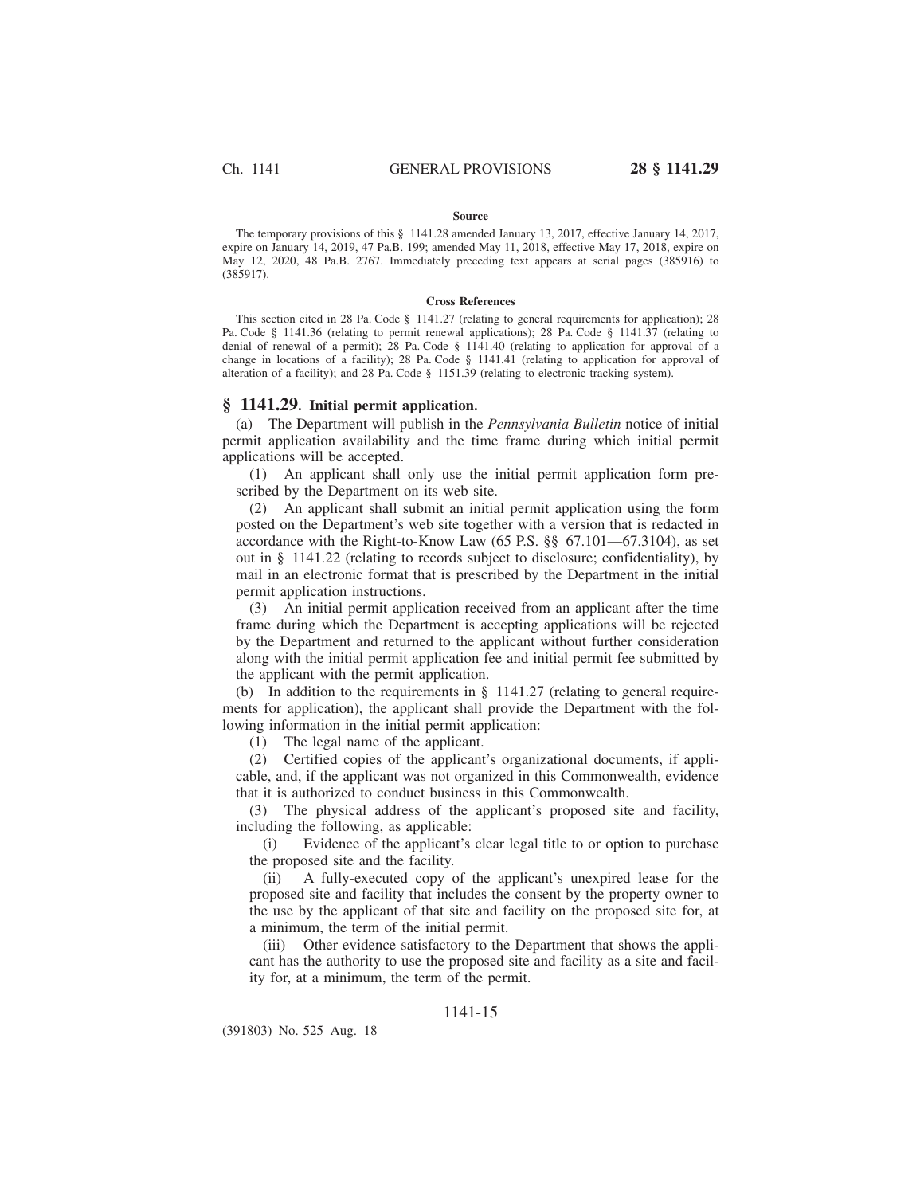#### **Source**

The temporary provisions of this § 1141.28 amended January 13, 2017, effective January 14, 2017, expire on January 14, 2019, 47 Pa.B. 199; amended May 11, 2018, effective May 17, 2018, expire on May 12, 2020, 48 Pa.B. 2767. Immediately preceding text appears at serial pages (385916) to (385917).

#### **Cross References**

This section cited in 28 Pa. Code § 1141.27 (relating to general requirements for application); 28 Pa. Code § 1141.36 (relating to permit renewal applications); 28 Pa. Code § 1141.37 (relating to denial of renewal of a permit); 28 Pa. Code § 1141.40 (relating to application for approval of a change in locations of a facility); 28 Pa. Code § 1141.41 (relating to application for approval of alteration of a facility); and 28 Pa. Code § 1151.39 (relating to electronic tracking system).

## **§ 1141.29. Initial permit application.**

(a) The Department will publish in the *Pennsylvania Bulletin* notice of initial permit application availability and the time frame during which initial permit applications will be accepted.

(1) An applicant shall only use the initial permit application form prescribed by the Department on its web site.

(2) An applicant shall submit an initial permit application using the form posted on the Department's web site together with a version that is redacted in accordance with the Right-to-Know Law (65 P.S. §§ 67.101—67.3104), as set out in § 1141.22 (relating to records subject to disclosure; confidentiality), by mail in an electronic format that is prescribed by the Department in the initial permit application instructions.

(3) An initial permit application received from an applicant after the time frame during which the Department is accepting applications will be rejected by the Department and returned to the applicant without further consideration along with the initial permit application fee and initial permit fee submitted by the applicant with the permit application.

(b) In addition to the requirements in  $\S$  1141.27 (relating to general requirements for application), the applicant shall provide the Department with the following information in the initial permit application:

(1) The legal name of the applicant.

(2) Certified copies of the applicant's organizational documents, if applicable, and, if the applicant was not organized in this Commonwealth, evidence that it is authorized to conduct business in this Commonwealth.

(3) The physical address of the applicant's proposed site and facility, including the following, as applicable:

(i) Evidence of the applicant's clear legal title to or option to purchase the proposed site and the facility.

(ii) A fully-executed copy of the applicant's unexpired lease for the proposed site and facility that includes the consent by the property owner to the use by the applicant of that site and facility on the proposed site for, at a minimum, the term of the initial permit.

(iii) Other evidence satisfactory to the Department that shows the applicant has the authority to use the proposed site and facility as a site and facility for, at a minimum, the term of the permit.

# 1141-15

(391803) No. 525 Aug. 18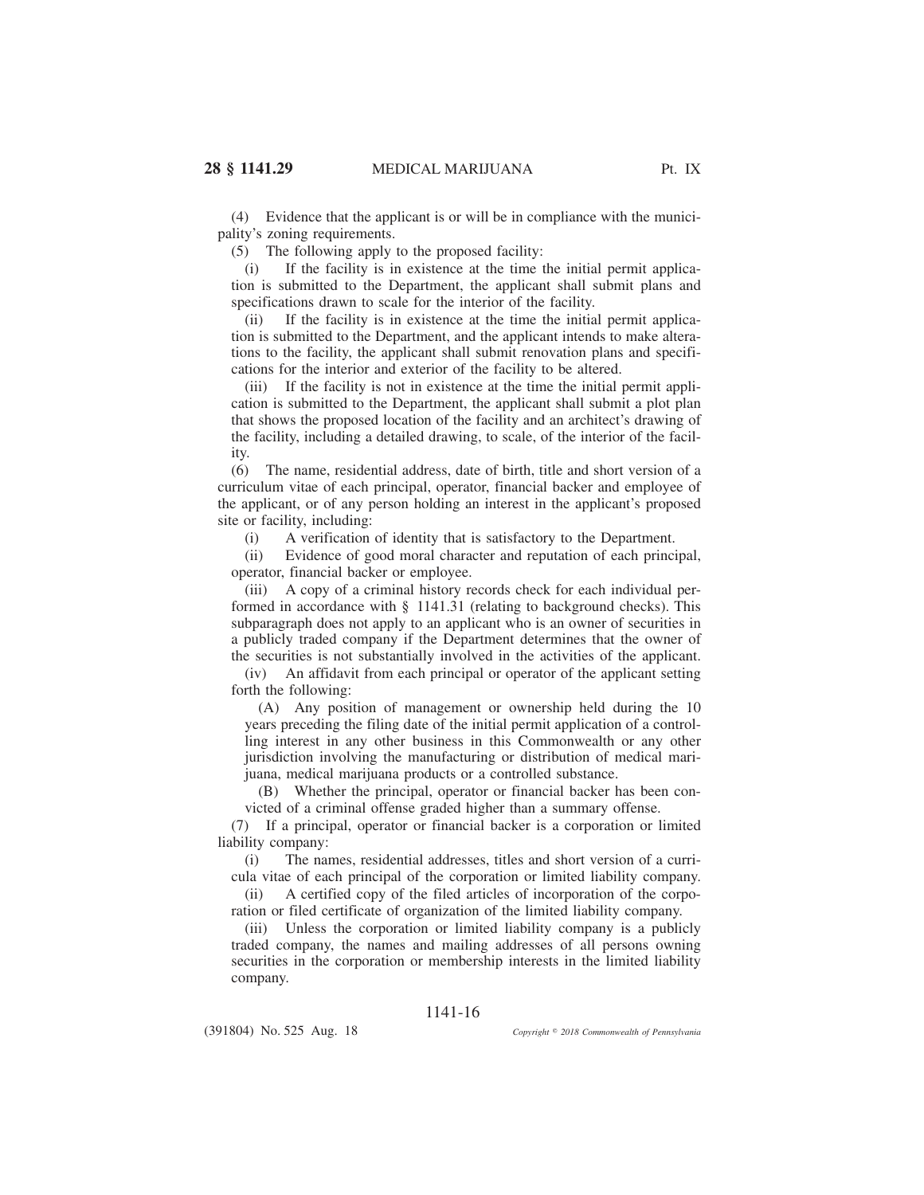(4) Evidence that the applicant is or will be in compliance with the municipality's zoning requirements.

(5) The following apply to the proposed facility:

(i) If the facility is in existence at the time the initial permit application is submitted to the Department, the applicant shall submit plans and specifications drawn to scale for the interior of the facility.

(ii) If the facility is in existence at the time the initial permit application is submitted to the Department, and the applicant intends to make alterations to the facility, the applicant shall submit renovation plans and specifications for the interior and exterior of the facility to be altered.

(iii) If the facility is not in existence at the time the initial permit application is submitted to the Department, the applicant shall submit a plot plan that shows the proposed location of the facility and an architect's drawing of the facility, including a detailed drawing, to scale, of the interior of the facility.

(6) The name, residential address, date of birth, title and short version of a curriculum vitae of each principal, operator, financial backer and employee of the applicant, or of any person holding an interest in the applicant's proposed site or facility, including:

(i) A verification of identity that is satisfactory to the Department.

(ii) Evidence of good moral character and reputation of each principal, operator, financial backer or employee.

(iii) A copy of a criminal history records check for each individual performed in accordance with § 1141.31 (relating to background checks). This subparagraph does not apply to an applicant who is an owner of securities in a publicly traded company if the Department determines that the owner of the securities is not substantially involved in the activities of the applicant.

(iv) An affidavit from each principal or operator of the applicant setting forth the following:

(A) Any position of management or ownership held during the 10 years preceding the filing date of the initial permit application of a controlling interest in any other business in this Commonwealth or any other jurisdiction involving the manufacturing or distribution of medical marijuana, medical marijuana products or a controlled substance.

(B) Whether the principal, operator or financial backer has been convicted of a criminal offense graded higher than a summary offense.

(7) If a principal, operator or financial backer is a corporation or limited liability company:

(i) The names, residential addresses, titles and short version of a curricula vitae of each principal of the corporation or limited liability company.

(ii) A certified copy of the filed articles of incorporation of the corporation or filed certificate of organization of the limited liability company.

(iii) Unless the corporation or limited liability company is a publicly traded company, the names and mailing addresses of all persons owning securities in the corporation or membership interests in the limited liability company.

# 1141-16

(391804) No. 525 Aug. 18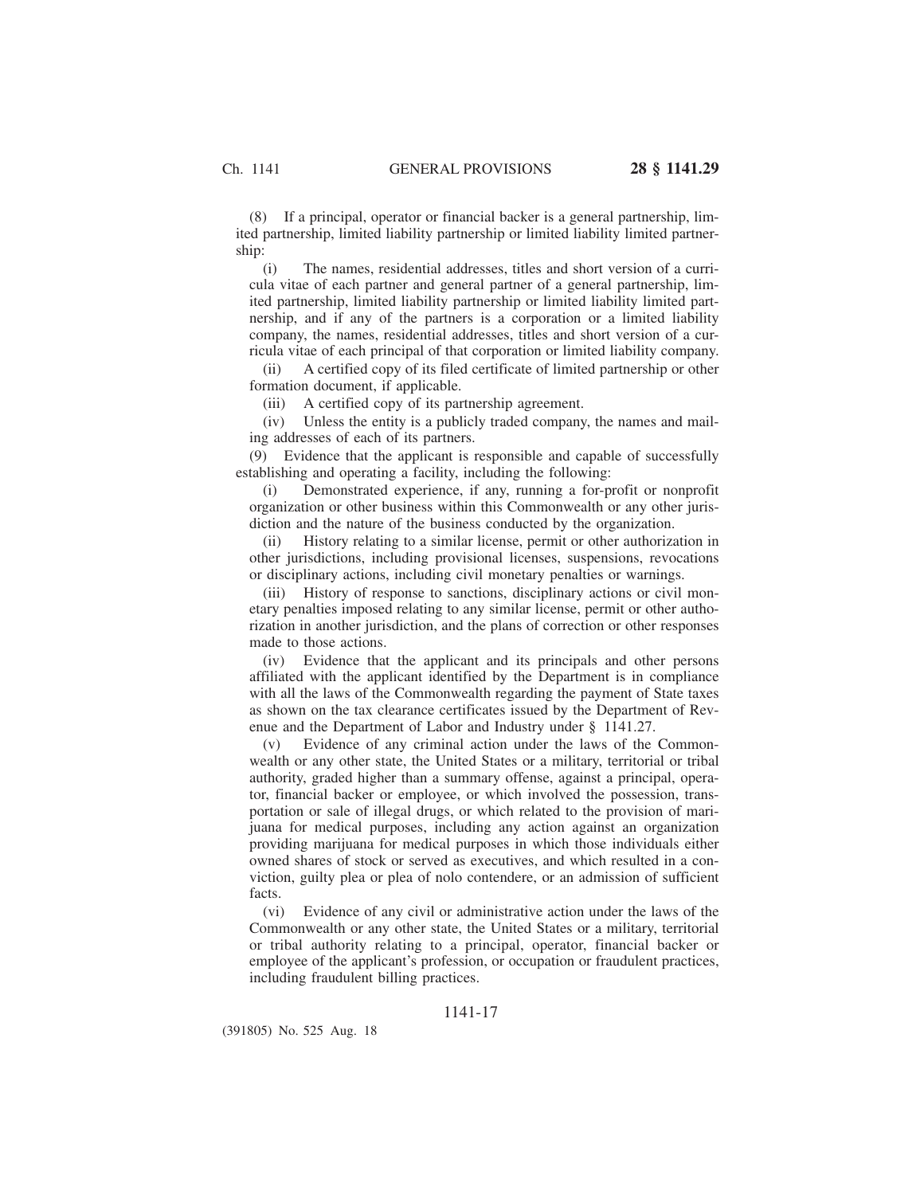(8) If a principal, operator or financial backer is a general partnership, limited partnership, limited liability partnership or limited liability limited partnership:

(i) The names, residential addresses, titles and short version of a curricula vitae of each partner and general partner of a general partnership, limited partnership, limited liability partnership or limited liability limited partnership, and if any of the partners is a corporation or a limited liability company, the names, residential addresses, titles and short version of a curricula vitae of each principal of that corporation or limited liability company.

(ii) A certified copy of its filed certificate of limited partnership or other formation document, if applicable.

(iii) A certified copy of its partnership agreement.

(iv) Unless the entity is a publicly traded company, the names and mailing addresses of each of its partners.

(9) Evidence that the applicant is responsible and capable of successfully establishing and operating a facility, including the following:

(i) Demonstrated experience, if any, running a for-profit or nonprofit organization or other business within this Commonwealth or any other jurisdiction and the nature of the business conducted by the organization.

(ii) History relating to a similar license, permit or other authorization in other jurisdictions, including provisional licenses, suspensions, revocations or disciplinary actions, including civil monetary penalties or warnings.

History of response to sanctions, disciplinary actions or civil monetary penalties imposed relating to any similar license, permit or other authorization in another jurisdiction, and the plans of correction or other responses made to those actions.

Evidence that the applicant and its principals and other persons affiliated with the applicant identified by the Department is in compliance with all the laws of the Commonwealth regarding the payment of State taxes as shown on the tax clearance certificates issued by the Department of Revenue and the Department of Labor and Industry under § 1141.27.

(v) Evidence of any criminal action under the laws of the Commonwealth or any other state, the United States or a military, territorial or tribal authority, graded higher than a summary offense, against a principal, operator, financial backer or employee, or which involved the possession, transportation or sale of illegal drugs, or which related to the provision of marijuana for medical purposes, including any action against an organization providing marijuana for medical purposes in which those individuals either owned shares of stock or served as executives, and which resulted in a conviction, guilty plea or plea of nolo contendere, or an admission of sufficient facts.

(vi) Evidence of any civil or administrative action under the laws of the Commonwealth or any other state, the United States or a military, territorial or tribal authority relating to a principal, operator, financial backer or employee of the applicant's profession, or occupation or fraudulent practices, including fraudulent billing practices.

## 1141-17

(391805) No. 525 Aug. 18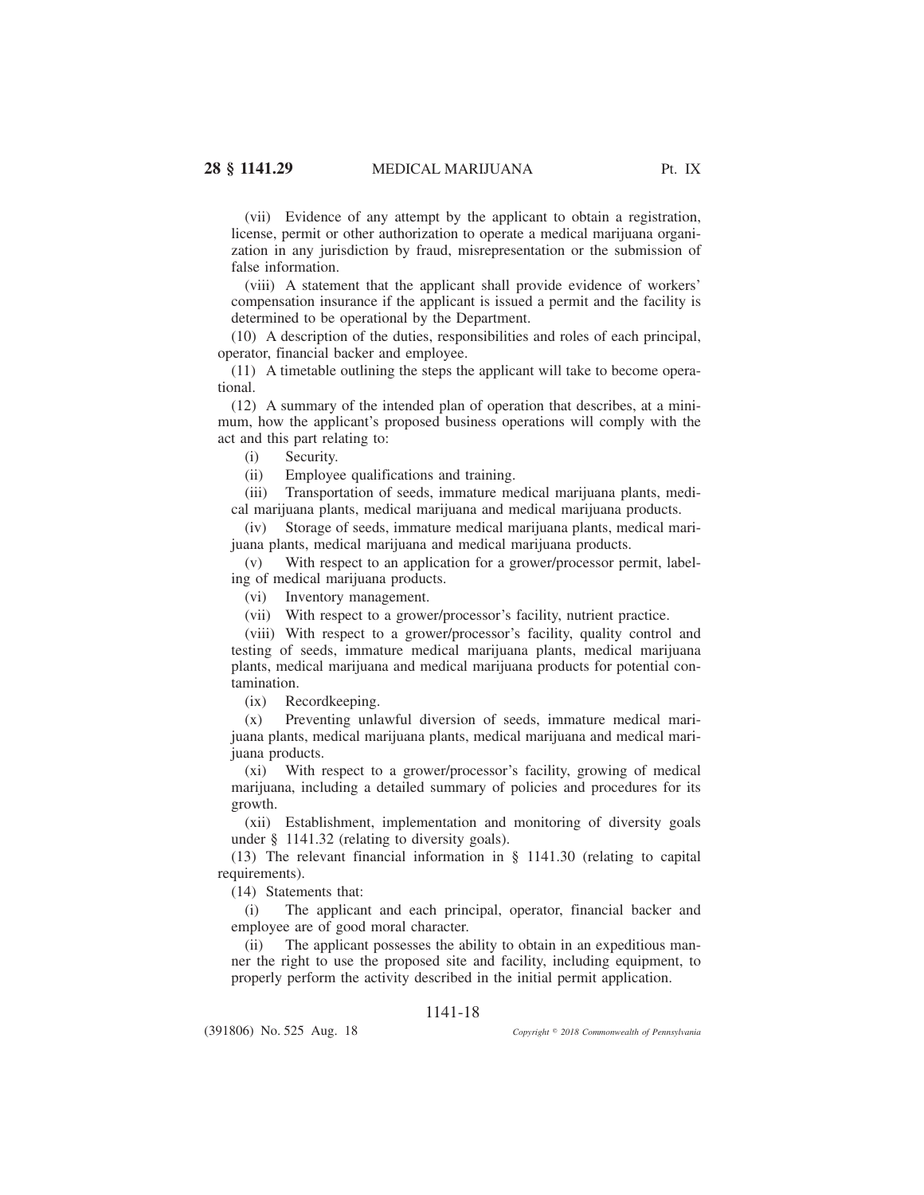(vii) Evidence of any attempt by the applicant to obtain a registration, license, permit or other authorization to operate a medical marijuana organization in any jurisdiction by fraud, misrepresentation or the submission of false information.

(viii) A statement that the applicant shall provide evidence of workers' compensation insurance if the applicant is issued a permit and the facility is determined to be operational by the Department.

(10) A description of the duties, responsibilities and roles of each principal, operator, financial backer and employee.

(11) A timetable outlining the steps the applicant will take to become operational.

(12) A summary of the intended plan of operation that describes, at a minimum, how the applicant's proposed business operations will comply with the act and this part relating to:

(i) Security.

(ii) Employee qualifications and training.

(iii) Transportation of seeds, immature medical marijuana plants, medical marijuana plants, medical marijuana and medical marijuana products.

(iv) Storage of seeds, immature medical marijuana plants, medical marijuana plants, medical marijuana and medical marijuana products.

(v) With respect to an application for a grower/processor permit, labeling of medical marijuana products.

(vi) Inventory management.

(vii) With respect to a grower/processor's facility, nutrient practice.

(viii) With respect to a grower/processor's facility, quality control and testing of seeds, immature medical marijuana plants, medical marijuana plants, medical marijuana and medical marijuana products for potential contamination.

(ix) Recordkeeping.

(x) Preventing unlawful diversion of seeds, immature medical marijuana plants, medical marijuana plants, medical marijuana and medical marijuana products.

(xi) With respect to a grower/processor's facility, growing of medical marijuana, including a detailed summary of policies and procedures for its growth.

(xii) Establishment, implementation and monitoring of diversity goals under § 1141.32 (relating to diversity goals).

(13) The relevant financial information in § 1141.30 (relating to capital requirements).

(14) Statements that:

(i) The applicant and each principal, operator, financial backer and employee are of good moral character.

(ii) The applicant possesses the ability to obtain in an expeditious manner the right to use the proposed site and facility, including equipment, to properly perform the activity described in the initial permit application.

## 1141-18

(391806) No. 525 Aug. 18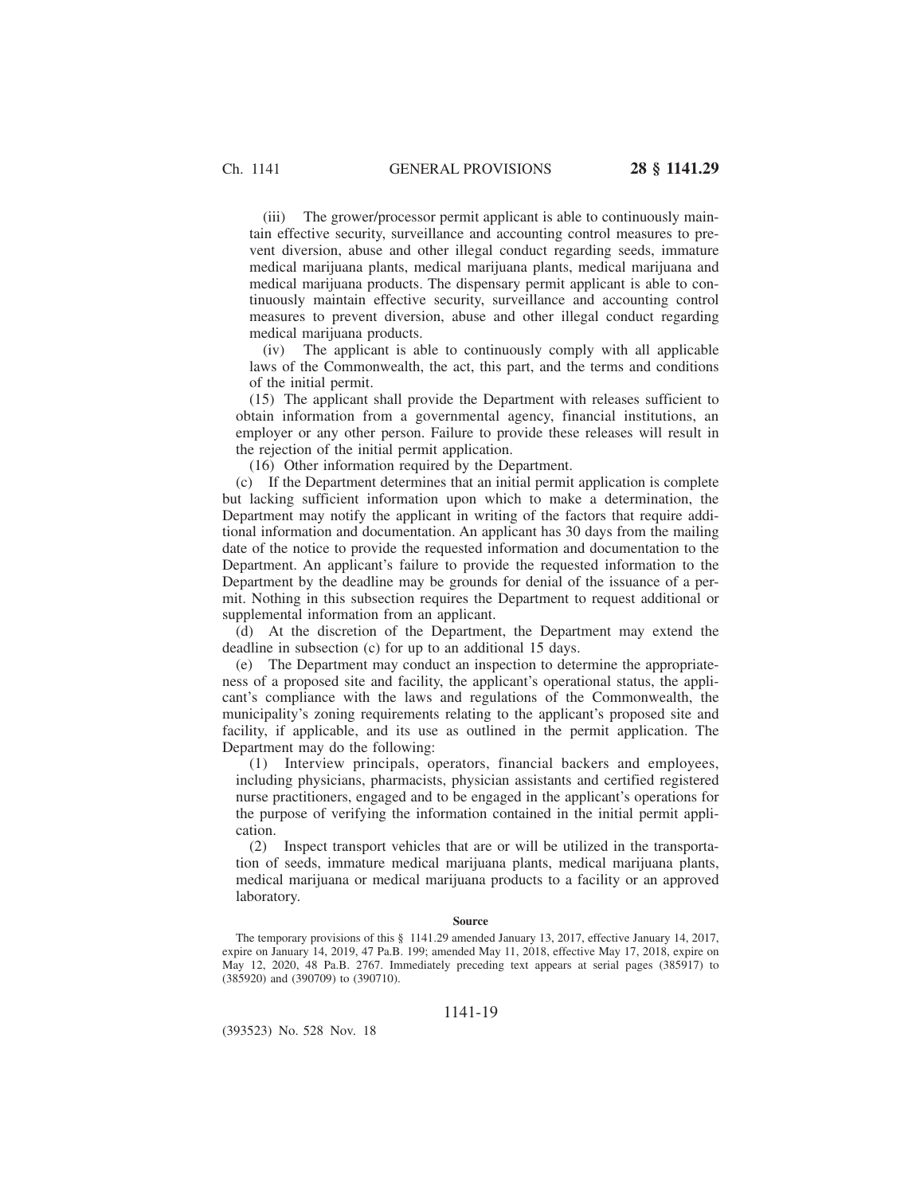(iii) The grower/processor permit applicant is able to continuously maintain effective security, surveillance and accounting control measures to prevent diversion, abuse and other illegal conduct regarding seeds, immature medical marijuana plants, medical marijuana plants, medical marijuana and medical marijuana products. The dispensary permit applicant is able to continuously maintain effective security, surveillance and accounting control measures to prevent diversion, abuse and other illegal conduct regarding medical marijuana products.

(iv) The applicant is able to continuously comply with all applicable laws of the Commonwealth, the act, this part, and the terms and conditions of the initial permit.

(15) The applicant shall provide the Department with releases sufficient to obtain information from a governmental agency, financial institutions, an employer or any other person. Failure to provide these releases will result in the rejection of the initial permit application.

(16) Other information required by the Department.

(c) If the Department determines that an initial permit application is complete but lacking sufficient information upon which to make a determination, the Department may notify the applicant in writing of the factors that require additional information and documentation. An applicant has 30 days from the mailing date of the notice to provide the requested information and documentation to the Department. An applicant's failure to provide the requested information to the Department by the deadline may be grounds for denial of the issuance of a permit. Nothing in this subsection requires the Department to request additional or supplemental information from an applicant.

(d) At the discretion of the Department, the Department may extend the deadline in subsection (c) for up to an additional 15 days.

(e) The Department may conduct an inspection to determine the appropriateness of a proposed site and facility, the applicant's operational status, the applicant's compliance with the laws and regulations of the Commonwealth, the municipality's zoning requirements relating to the applicant's proposed site and facility, if applicable, and its use as outlined in the permit application. The Department may do the following:

(1) Interview principals, operators, financial backers and employees, including physicians, pharmacists, physician assistants and certified registered nurse practitioners, engaged and to be engaged in the applicant's operations for the purpose of verifying the information contained in the initial permit application.

(2) Inspect transport vehicles that are or will be utilized in the transportation of seeds, immature medical marijuana plants, medical marijuana plants, medical marijuana or medical marijuana products to a facility or an approved laboratory.

### **Source**

The temporary provisions of this § 1141.29 amended January 13, 2017, effective January 14, 2017, expire on January 14, 2019, 47 Pa.B. 199; amended May 11, 2018, effective May 17, 2018, expire on May 12, 2020, 48 Pa.B. 2767. Immediately preceding text appears at serial pages (385917) to (385920) and (390709) to (390710).

1141-19

(393523) No. 528 Nov. 18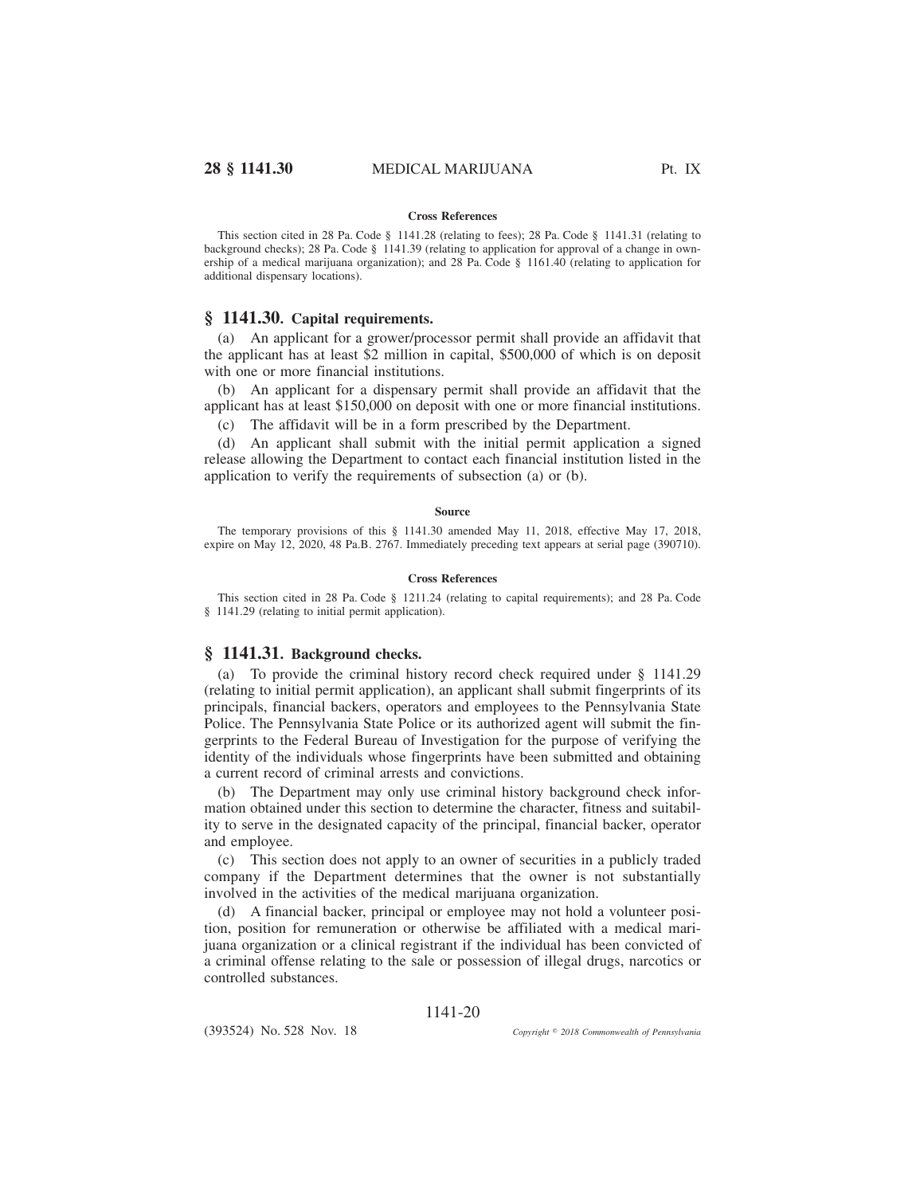### **Cross References**

This section cited in 28 Pa. Code § 1141.28 (relating to fees); 28 Pa. Code § 1141.31 (relating to background checks); 28 Pa. Code § 1141.39 (relating to application for approval of a change in ownership of a medical marijuana organization); and 28 Pa. Code § 1161.40 (relating to application for additional dispensary locations).

## **§ 1141.30. Capital requirements.**

(a) An applicant for a grower/processor permit shall provide an affidavit that the applicant has at least \$2 million in capital, \$500,000 of which is on deposit with one or more financial institutions.

(b) An applicant for a dispensary permit shall provide an affidavit that the applicant has at least \$150,000 on deposit with one or more financial institutions.

(c) The affidavit will be in a form prescribed by the Department.

(d) An applicant shall submit with the initial permit application a signed release allowing the Department to contact each financial institution listed in the application to verify the requirements of subsection (a) or (b).

### **Source**

The temporary provisions of this § 1141.30 amended May 11, 2018, effective May 17, 2018, expire on May 12, 2020, 48 Pa.B. 2767. Immediately preceding text appears at serial page (390710).

### **Cross References**

This section cited in 28 Pa. Code § 1211.24 (relating to capital requirements); and 28 Pa. Code § 1141.29 (relating to initial permit application).

# **§ 1141.31. Background checks.**

(a) To provide the criminal history record check required under § 1141.29 (relating to initial permit application), an applicant shall submit fingerprints of its principals, financial backers, operators and employees to the Pennsylvania State Police. The Pennsylvania State Police or its authorized agent will submit the fingerprints to the Federal Bureau of Investigation for the purpose of verifying the identity of the individuals whose fingerprints have been submitted and obtaining a current record of criminal arrests and convictions.

(b) The Department may only use criminal history background check information obtained under this section to determine the character, fitness and suitability to serve in the designated capacity of the principal, financial backer, operator and employee.

(c) This section does not apply to an owner of securities in a publicly traded company if the Department determines that the owner is not substantially involved in the activities of the medical marijuana organization.

(d) A financial backer, principal or employee may not hold a volunteer position, position for remuneration or otherwise be affiliated with a medical marijuana organization or a clinical registrant if the individual has been convicted of a criminal offense relating to the sale or possession of illegal drugs, narcotics or controlled substances.

## 1141-20

(393524) No. 528 Nov. 18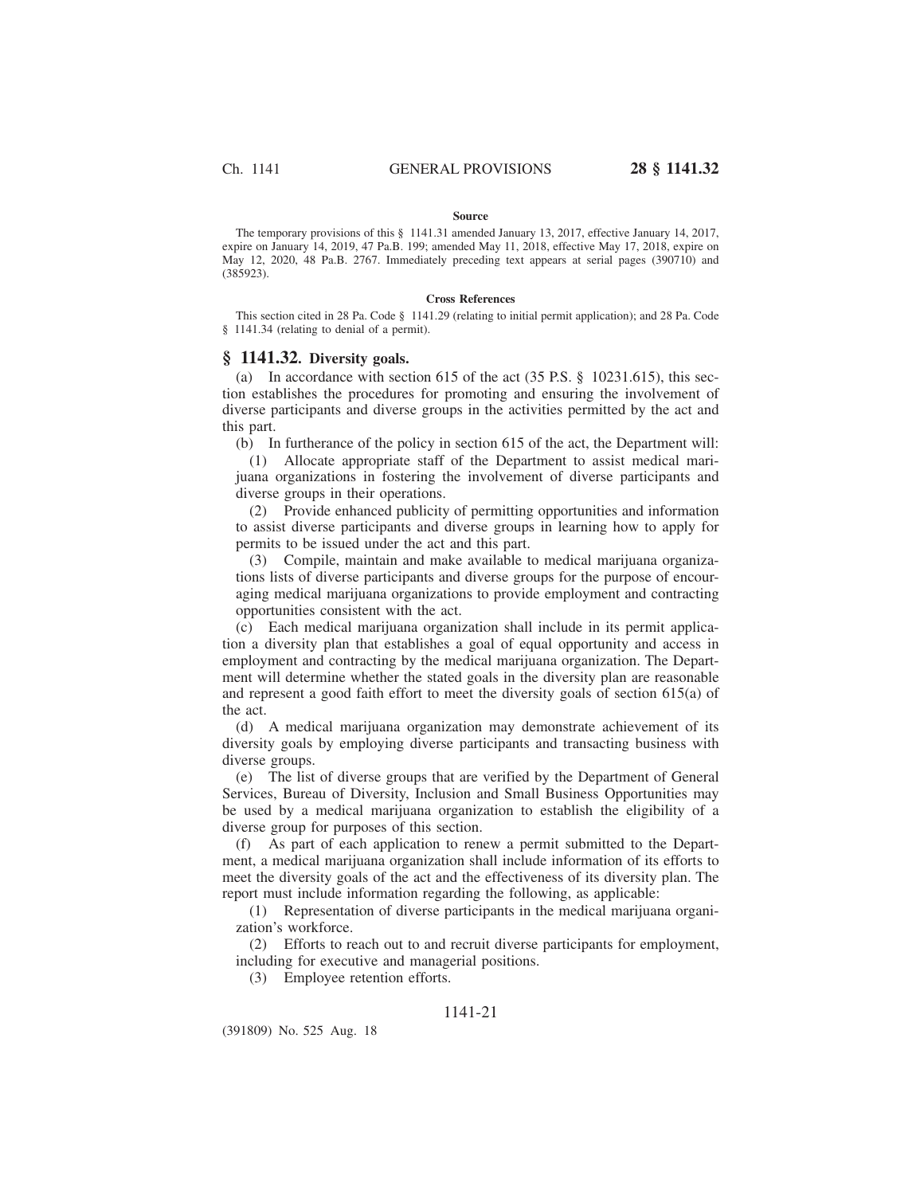### **Source**

The temporary provisions of this § 1141.31 amended January 13, 2017, effective January 14, 2017, expire on January 14, 2019, 47 Pa.B. 199; amended May 11, 2018, effective May 17, 2018, expire on May 12, 2020, 48 Pa.B. 2767. Immediately preceding text appears at serial pages (390710) and (385923).

### **Cross References**

This section cited in 28 Pa. Code § 1141.29 (relating to initial permit application); and 28 Pa. Code § 1141.34 (relating to denial of a permit).

### **§ 1141.32. Diversity goals.**

(a) In accordance with section 615 of the act (35 P.S. § 10231.615), this section establishes the procedures for promoting and ensuring the involvement of diverse participants and diverse groups in the activities permitted by the act and this part.

(b) In furtherance of the policy in section 615 of the act, the Department will:

(1) Allocate appropriate staff of the Department to assist medical marijuana organizations in fostering the involvement of diverse participants and diverse groups in their operations.

(2) Provide enhanced publicity of permitting opportunities and information to assist diverse participants and diverse groups in learning how to apply for permits to be issued under the act and this part.

(3) Compile, maintain and make available to medical marijuana organizations lists of diverse participants and diverse groups for the purpose of encouraging medical marijuana organizations to provide employment and contracting opportunities consistent with the act.

(c) Each medical marijuana organization shall include in its permit application a diversity plan that establishes a goal of equal opportunity and access in employment and contracting by the medical marijuana organization. The Department will determine whether the stated goals in the diversity plan are reasonable and represent a good faith effort to meet the diversity goals of section 615(a) of the act.

(d) A medical marijuana organization may demonstrate achievement of its diversity goals by employing diverse participants and transacting business with diverse groups.

(e) The list of diverse groups that are verified by the Department of General Services, Bureau of Diversity, Inclusion and Small Business Opportunities may be used by a medical marijuana organization to establish the eligibility of a diverse group for purposes of this section.

(f) As part of each application to renew a permit submitted to the Department, a medical marijuana organization shall include information of its efforts to meet the diversity goals of the act and the effectiveness of its diversity plan. The report must include information regarding the following, as applicable:

(1) Representation of diverse participants in the medical marijuana organization's workforce.

(2) Efforts to reach out to and recruit diverse participants for employment, including for executive and managerial positions.

(3) Employee retention efforts.

## 1141-21

(391809) No. 525 Aug. 18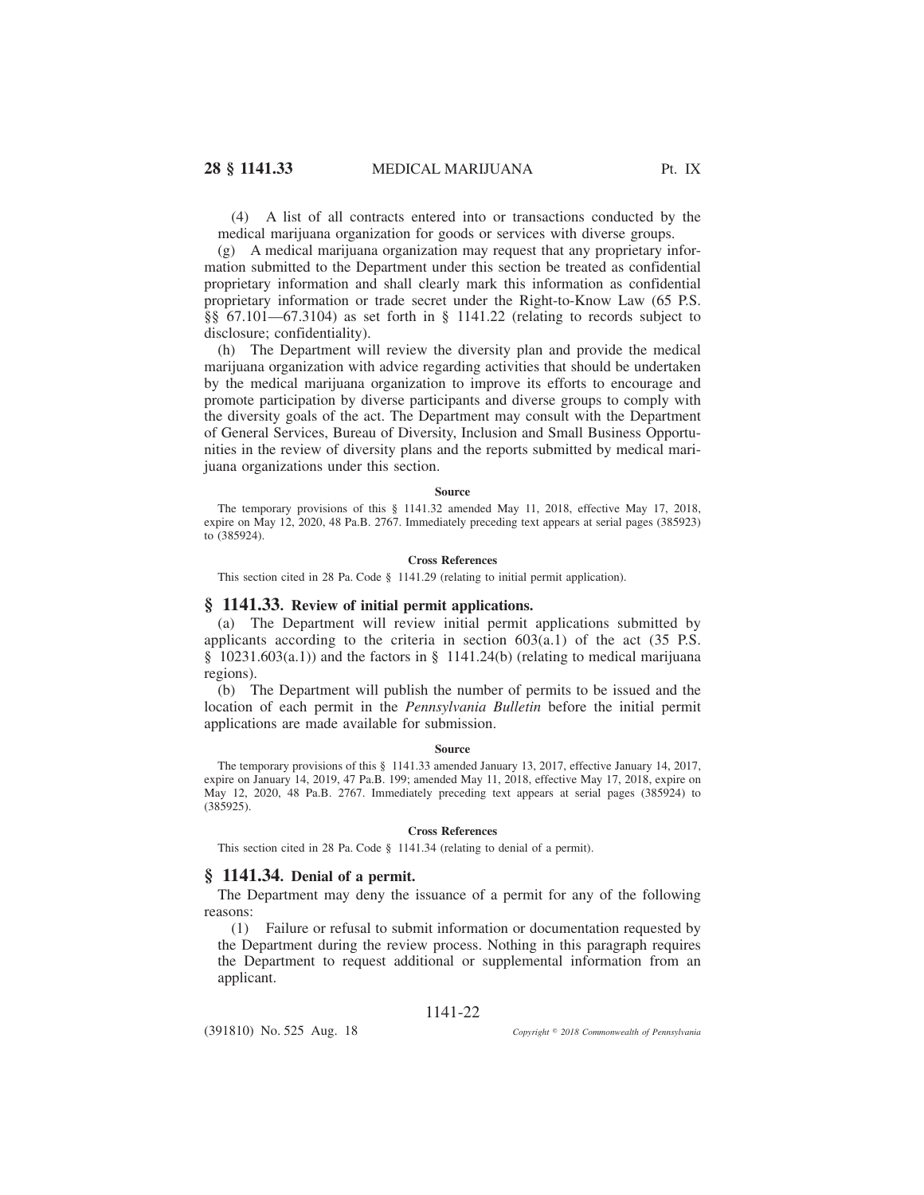(4) A list of all contracts entered into or transactions conducted by the medical marijuana organization for goods or services with diverse groups.

(g) A medical marijuana organization may request that any proprietary information submitted to the Department under this section be treated as confidential proprietary information and shall clearly mark this information as confidential proprietary information or trade secret under the Right-to-Know Law (65 P.S. §§ 67.101—67.3104) as set forth in § 1141.22 (relating to records subject to disclosure; confidentiality).

(h) The Department will review the diversity plan and provide the medical marijuana organization with advice regarding activities that should be undertaken by the medical marijuana organization to improve its efforts to encourage and promote participation by diverse participants and diverse groups to comply with the diversity goals of the act. The Department may consult with the Department of General Services, Bureau of Diversity, Inclusion and Small Business Opportunities in the review of diversity plans and the reports submitted by medical marijuana organizations under this section.

#### **Source**

The temporary provisions of this § 1141.32 amended May 11, 2018, effective May 17, 2018, expire on May 12, 2020, 48 Pa.B. 2767. Immediately preceding text appears at serial pages (385923) to (385924).

### **Cross References**

This section cited in 28 Pa. Code § 1141.29 (relating to initial permit application).

### **§ 1141.33. Review of initial permit applications.**

(a) The Department will review initial permit applications submitted by applicants according to the criteria in section  $603(a.1)$  of the act (35 P.S.) § 10231.603(a.1)) and the factors in § 1141.24(b) (relating to medical marijuana regions).

(b) The Department will publish the number of permits to be issued and the location of each permit in the *Pennsylvania Bulletin* before the initial permit applications are made available for submission.

### **Source**

The temporary provisions of this § 1141.33 amended January 13, 2017, effective January 14, 2017, expire on January 14, 2019, 47 Pa.B. 199; amended May 11, 2018, effective May 17, 2018, expire on May 12, 2020, 48 Pa.B. 2767. Immediately preceding text appears at serial pages (385924) to (385925).

### **Cross References**

This section cited in 28 Pa. Code § 1141.34 (relating to denial of a permit).

## **§ 1141.34. Denial of a permit.**

The Department may deny the issuance of a permit for any of the following reasons:

(1) Failure or refusal to submit information or documentation requested by the Department during the review process. Nothing in this paragraph requires the Department to request additional or supplemental information from an applicant.

## 1141-22

(391810) No. 525 Aug. 18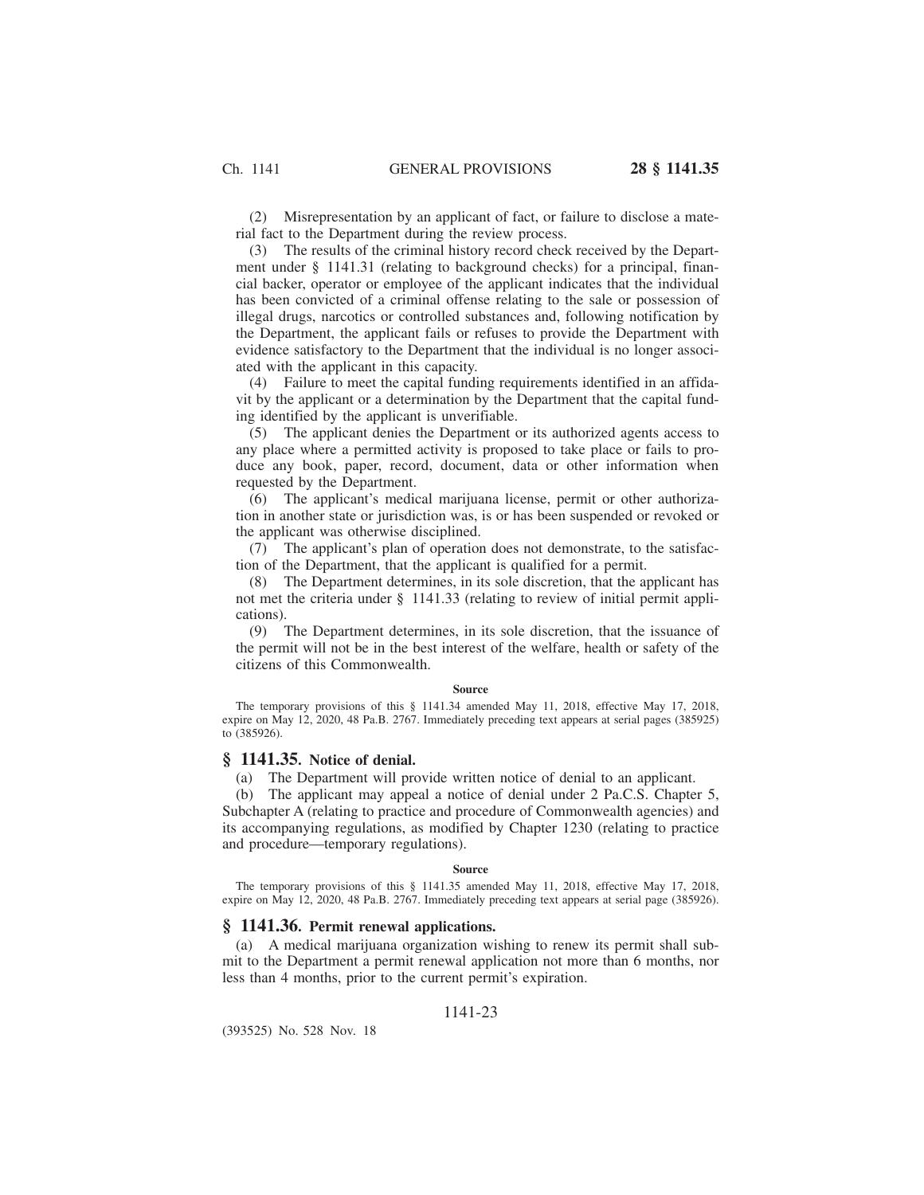(2) Misrepresentation by an applicant of fact, or failure to disclose a material fact to the Department during the review process.

(3) The results of the criminal history record check received by the Department under § 1141.31 (relating to background checks) for a principal, financial backer, operator or employee of the applicant indicates that the individual has been convicted of a criminal offense relating to the sale or possession of illegal drugs, narcotics or controlled substances and, following notification by the Department, the applicant fails or refuses to provide the Department with evidence satisfactory to the Department that the individual is no longer associated with the applicant in this capacity.

(4) Failure to meet the capital funding requirements identified in an affidavit by the applicant or a determination by the Department that the capital funding identified by the applicant is unverifiable.

(5) The applicant denies the Department or its authorized agents access to any place where a permitted activity is proposed to take place or fails to produce any book, paper, record, document, data or other information when requested by the Department.

(6) The applicant's medical marijuana license, permit or other authorization in another state or jurisdiction was, is or has been suspended or revoked or the applicant was otherwise disciplined.

(7) The applicant's plan of operation does not demonstrate, to the satisfaction of the Department, that the applicant is qualified for a permit.

(8) The Department determines, in its sole discretion, that the applicant has not met the criteria under § 1141.33 (relating to review of initial permit applications).

(9) The Department determines, in its sole discretion, that the issuance of the permit will not be in the best interest of the welfare, health or safety of the citizens of this Commonwealth.

### **Source**

The temporary provisions of this § 1141.34 amended May 11, 2018, effective May 17, 2018, expire on May 12, 2020, 48 Pa.B. 2767. Immediately preceding text appears at serial pages (385925) to (385926).

### **§ 1141.35. Notice of denial.**

(a) The Department will provide written notice of denial to an applicant.

(b) The applicant may appeal a notice of denial under 2 Pa.C.S. Chapter 5, Subchapter A (relating to practice and procedure of Commonwealth agencies) and its accompanying regulations, as modified by Chapter 1230 (relating to practice and procedure—temporary regulations).

#### **Source**

The temporary provisions of this § 1141.35 amended May 11, 2018, effective May 17, 2018, expire on May 12, 2020, 48 Pa.B. 2767. Immediately preceding text appears at serial page (385926).

# **§ 1141.36. Permit renewal applications.**

(a) A medical marijuana organization wishing to renew its permit shall submit to the Department a permit renewal application not more than 6 months, nor less than 4 months, prior to the current permit's expiration.

## 1141-23

(393525) No. 528 Nov. 18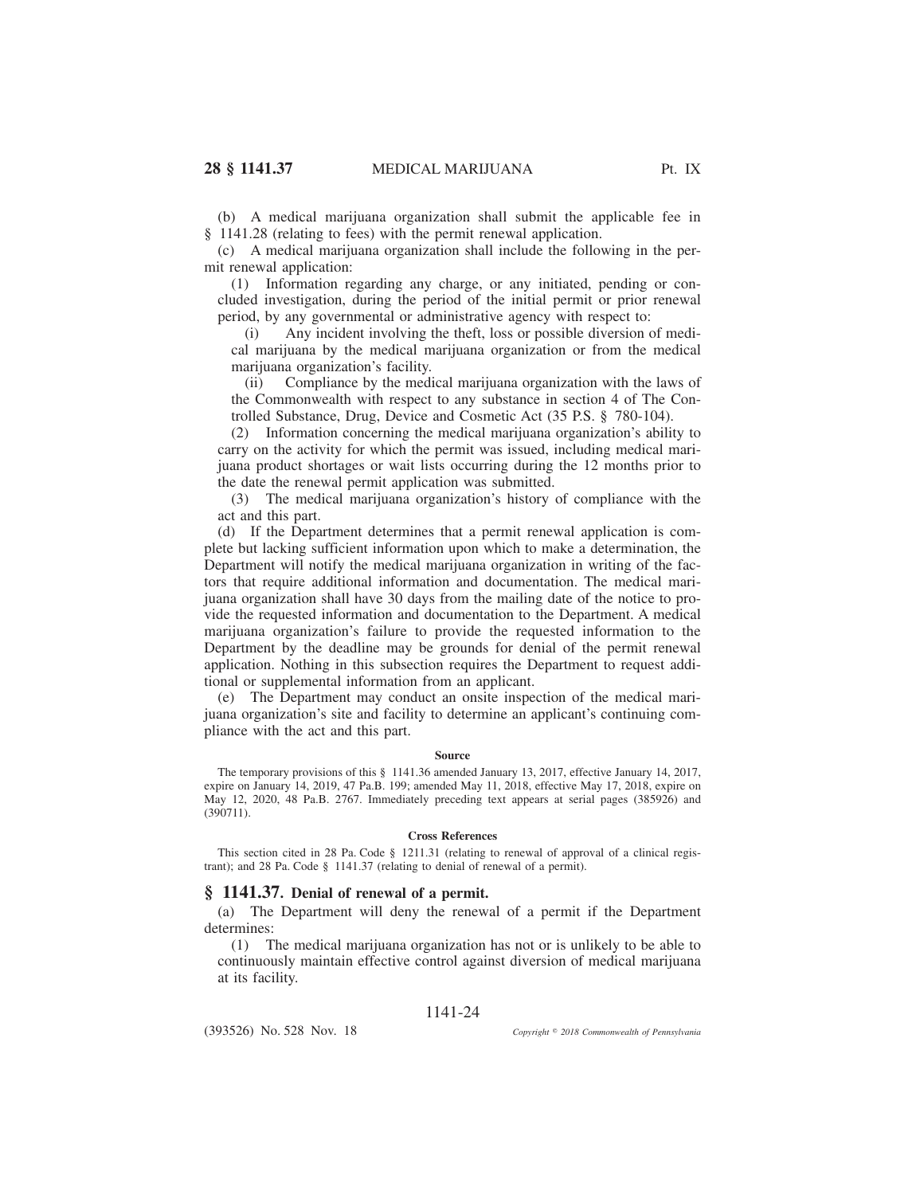(b) A medical marijuana organization shall submit the applicable fee in § 1141.28 (relating to fees) with the permit renewal application.

(c) A medical marijuana organization shall include the following in the permit renewal application:

(1) Information regarding any charge, or any initiated, pending or concluded investigation, during the period of the initial permit or prior renewal period, by any governmental or administrative agency with respect to:

(i) Any incident involving the theft, loss or possible diversion of medical marijuana by the medical marijuana organization or from the medical marijuana organization's facility.

(ii) Compliance by the medical marijuana organization with the laws of the Commonwealth with respect to any substance in section 4 of The Controlled Substance, Drug, Device and Cosmetic Act (35 P.S. § 780-104).

(2) Information concerning the medical marijuana organization's ability to carry on the activity for which the permit was issued, including medical marijuana product shortages or wait lists occurring during the 12 months prior to the date the renewal permit application was submitted.

(3) The medical marijuana organization's history of compliance with the act and this part.

(d) If the Department determines that a permit renewal application is complete but lacking sufficient information upon which to make a determination, the Department will notify the medical marijuana organization in writing of the factors that require additional information and documentation. The medical marijuana organization shall have 30 days from the mailing date of the notice to provide the requested information and documentation to the Department. A medical marijuana organization's failure to provide the requested information to the Department by the deadline may be grounds for denial of the permit renewal application. Nothing in this subsection requires the Department to request additional or supplemental information from an applicant.

(e) The Department may conduct an onsite inspection of the medical marijuana organization's site and facility to determine an applicant's continuing compliance with the act and this part.

### **Source**

The temporary provisions of this § 1141.36 amended January 13, 2017, effective January 14, 2017, expire on January 14, 2019, 47 Pa.B. 199; amended May 11, 2018, effective May 17, 2018, expire on May 12, 2020, 48 Pa.B. 2767. Immediately preceding text appears at serial pages (385926) and (390711).

### **Cross References**

This section cited in 28 Pa. Code § 1211.31 (relating to renewal of approval of a clinical registrant); and 28 Pa. Code § 1141.37 (relating to denial of renewal of a permit).

## **§ 1141.37. Denial of renewal of a permit.**

(a) The Department will deny the renewal of a permit if the Department determines:

(1) The medical marijuana organization has not or is unlikely to be able to continuously maintain effective control against diversion of medical marijuana at its facility.

## 1141-24

(393526) No. 528 Nov. 18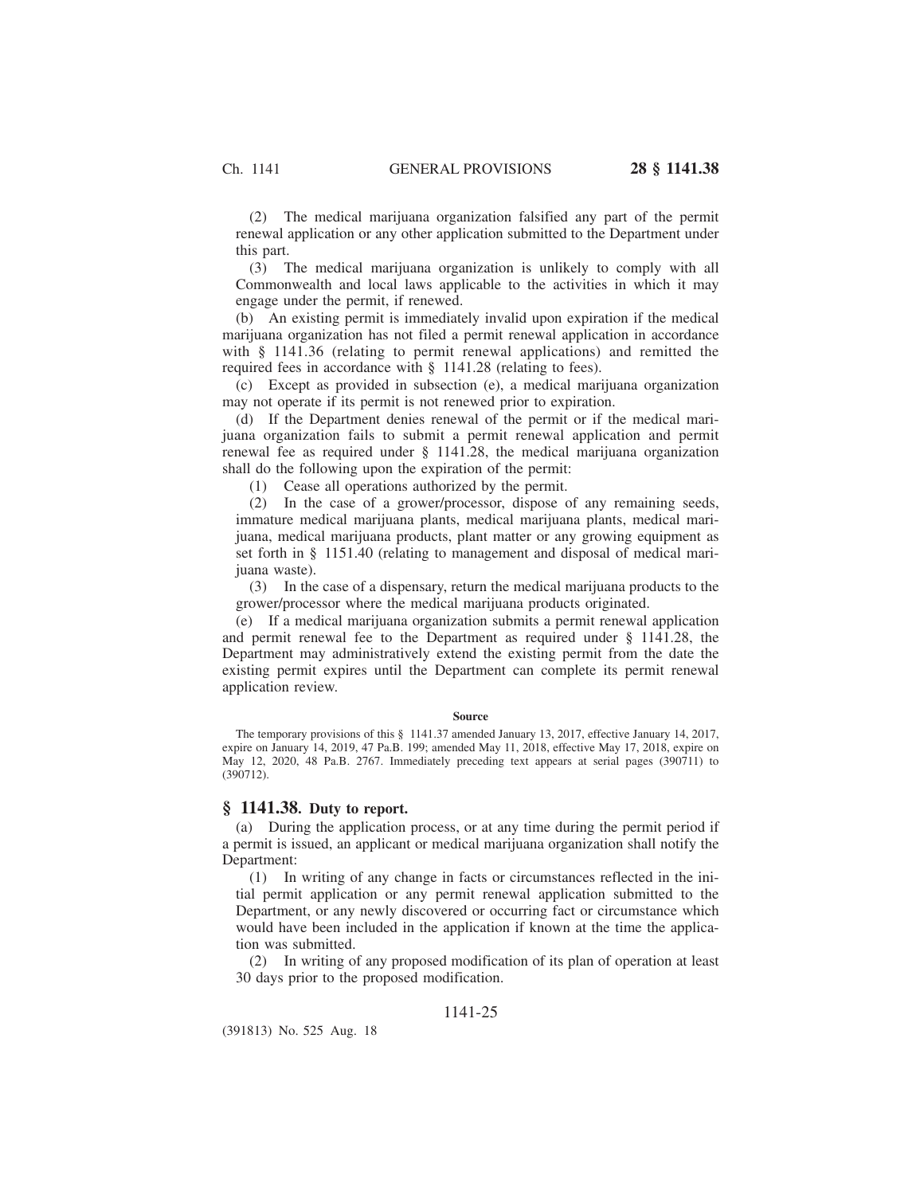(2) The medical marijuana organization falsified any part of the permit renewal application or any other application submitted to the Department under this part.

(3) The medical marijuana organization is unlikely to comply with all Commonwealth and local laws applicable to the activities in which it may engage under the permit, if renewed.

(b) An existing permit is immediately invalid upon expiration if the medical marijuana organization has not filed a permit renewal application in accordance with § 1141.36 (relating to permit renewal applications) and remitted the required fees in accordance with § 1141.28 (relating to fees).

(c) Except as provided in subsection (e), a medical marijuana organization may not operate if its permit is not renewed prior to expiration.

(d) If the Department denies renewal of the permit or if the medical marijuana organization fails to submit a permit renewal application and permit renewal fee as required under § 1141.28, the medical marijuana organization shall do the following upon the expiration of the permit:

(1) Cease all operations authorized by the permit.

(2) In the case of a grower/processor, dispose of any remaining seeds, immature medical marijuana plants, medical marijuana plants, medical marijuana, medical marijuana products, plant matter or any growing equipment as set forth in § 1151.40 (relating to management and disposal of medical marijuana waste).

(3) In the case of a dispensary, return the medical marijuana products to the grower/processor where the medical marijuana products originated.

(e) If a medical marijuana organization submits a permit renewal application and permit renewal fee to the Department as required under § 1141.28, the Department may administratively extend the existing permit from the date the existing permit expires until the Department can complete its permit renewal application review.

### **Source**

The temporary provisions of this § 1141.37 amended January 13, 2017, effective January 14, 2017, expire on January 14, 2019, 47 Pa.B. 199; amended May 11, 2018, effective May 17, 2018, expire on May 12, 2020, 48 Pa.B. 2767. Immediately preceding text appears at serial pages (390711) to (390712).

### **§ 1141.38. Duty to report.**

(a) During the application process, or at any time during the permit period if a permit is issued, an applicant or medical marijuana organization shall notify the Department:

(1) In writing of any change in facts or circumstances reflected in the initial permit application or any permit renewal application submitted to the Department, or any newly discovered or occurring fact or circumstance which would have been included in the application if known at the time the application was submitted.

(2) In writing of any proposed modification of its plan of operation at least 30 days prior to the proposed modification.

# 1141-25

(391813) No. 525 Aug. 18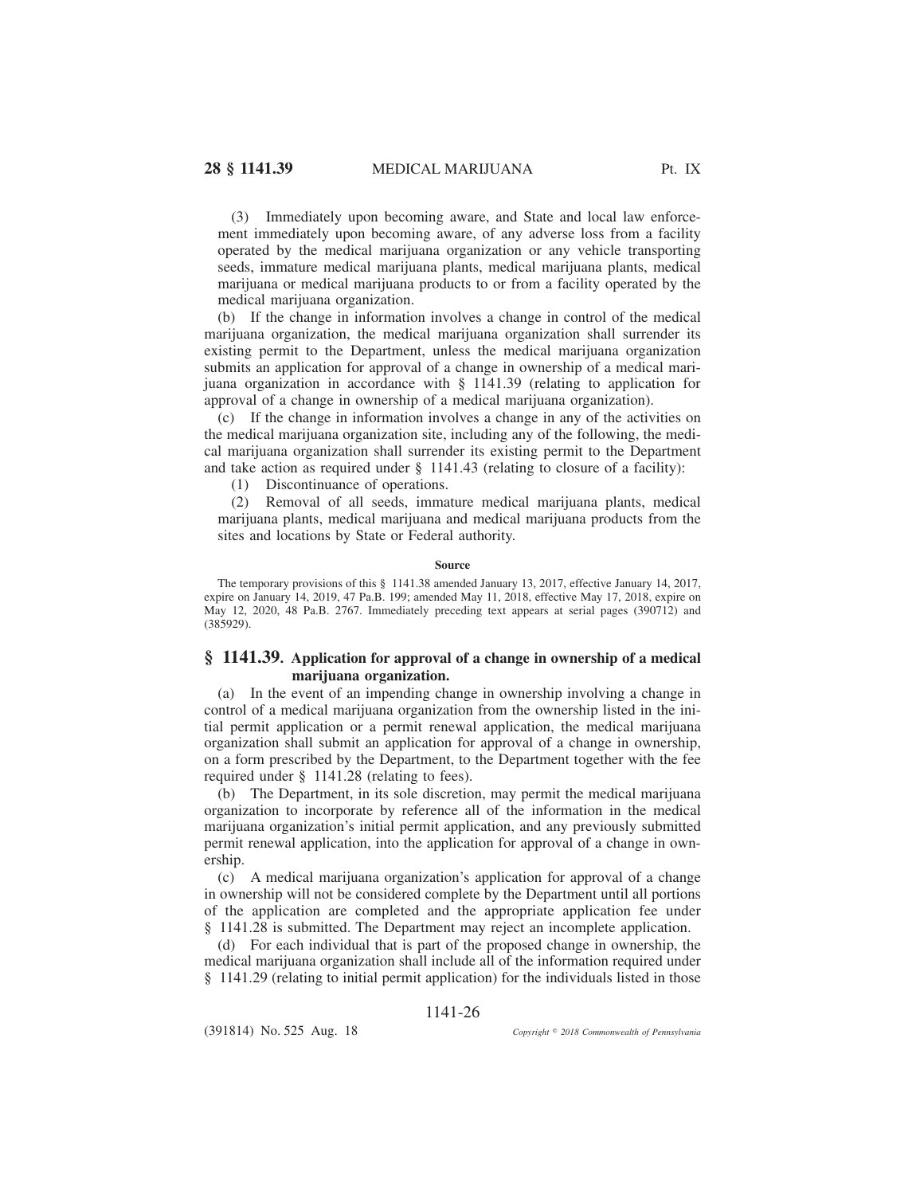(3) Immediately upon becoming aware, and State and local law enforcement immediately upon becoming aware, of any adverse loss from a facility operated by the medical marijuana organization or any vehicle transporting seeds, immature medical marijuana plants, medical marijuana plants, medical marijuana or medical marijuana products to or from a facility operated by the medical marijuana organization.

(b) If the change in information involves a change in control of the medical marijuana organization, the medical marijuana organization shall surrender its existing permit to the Department, unless the medical marijuana organization submits an application for approval of a change in ownership of a medical marijuana organization in accordance with § 1141.39 (relating to application for approval of a change in ownership of a medical marijuana organization).

(c) If the change in information involves a change in any of the activities on the medical marijuana organization site, including any of the following, the medical marijuana organization shall surrender its existing permit to the Department and take action as required under § 1141.43 (relating to closure of a facility):

(1) Discontinuance of operations.

(2) Removal of all seeds, immature medical marijuana plants, medical marijuana plants, medical marijuana and medical marijuana products from the sites and locations by State or Federal authority.

### **Source**

The temporary provisions of this § 1141.38 amended January 13, 2017, effective January 14, 2017, expire on January 14, 2019, 47 Pa.B. 199; amended May 11, 2018, effective May 17, 2018, expire on May 12, 2020, 48 Pa.B. 2767. Immediately preceding text appears at serial pages (390712) and (385929).

## **§ 1141.39. Application for approval of a change in ownership of a medical marijuana organization.**

(a) In the event of an impending change in ownership involving a change in control of a medical marijuana organization from the ownership listed in the initial permit application or a permit renewal application, the medical marijuana organization shall submit an application for approval of a change in ownership, on a form prescribed by the Department, to the Department together with the fee required under § 1141.28 (relating to fees).

(b) The Department, in its sole discretion, may permit the medical marijuana organization to incorporate by reference all of the information in the medical marijuana organization's initial permit application, and any previously submitted permit renewal application, into the application for approval of a change in ownership.

(c) A medical marijuana organization's application for approval of a change in ownership will not be considered complete by the Department until all portions of the application are completed and the appropriate application fee under § 1141.28 is submitted. The Department may reject an incomplete application.

(d) For each individual that is part of the proposed change in ownership, the medical marijuana organization shall include all of the information required under § 1141.29 (relating to initial permit application) for the individuals listed in those

1141-26

(391814) No. 525 Aug. 18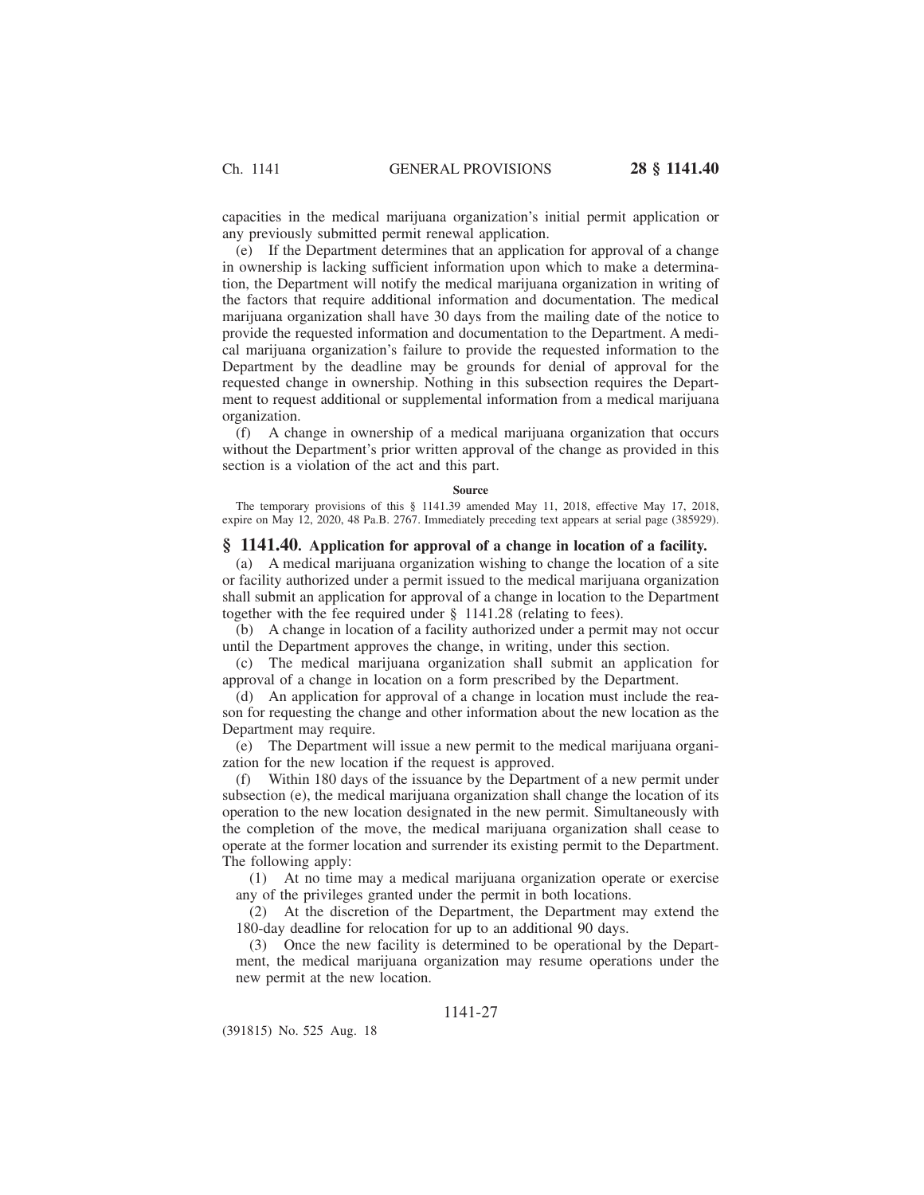capacities in the medical marijuana organization's initial permit application or any previously submitted permit renewal application.

(e) If the Department determines that an application for approval of a change in ownership is lacking sufficient information upon which to make a determination, the Department will notify the medical marijuana organization in writing of the factors that require additional information and documentation. The medical marijuana organization shall have 30 days from the mailing date of the notice to provide the requested information and documentation to the Department. A medical marijuana organization's failure to provide the requested information to the Department by the deadline may be grounds for denial of approval for the requested change in ownership. Nothing in this subsection requires the Department to request additional or supplemental information from a medical marijuana organization.

(f) A change in ownership of a medical marijuana organization that occurs without the Department's prior written approval of the change as provided in this section is a violation of the act and this part.

#### **Source**

The temporary provisions of this § 1141.39 amended May 11, 2018, effective May 17, 2018, expire on May 12, 2020, 48 Pa.B. 2767. Immediately preceding text appears at serial page (385929).

## **§ 1141.40. Application for approval of a change in location of a facility.**

(a) A medical marijuana organization wishing to change the location of a site or facility authorized under a permit issued to the medical marijuana organization shall submit an application for approval of a change in location to the Department together with the fee required under § 1141.28 (relating to fees).

(b) A change in location of a facility authorized under a permit may not occur until the Department approves the change, in writing, under this section.

(c) The medical marijuana organization shall submit an application for approval of a change in location on a form prescribed by the Department.

(d) An application for approval of a change in location must include the reason for requesting the change and other information about the new location as the Department may require.

(e) The Department will issue a new permit to the medical marijuana organization for the new location if the request is approved.

(f) Within 180 days of the issuance by the Department of a new permit under subsection (e), the medical marijuana organization shall change the location of its operation to the new location designated in the new permit. Simultaneously with the completion of the move, the medical marijuana organization shall cease to operate at the former location and surrender its existing permit to the Department. The following apply:

(1) At no time may a medical marijuana organization operate or exercise any of the privileges granted under the permit in both locations.

(2) At the discretion of the Department, the Department may extend the 180-day deadline for relocation for up to an additional 90 days.

(3) Once the new facility is determined to be operational by the Department, the medical marijuana organization may resume operations under the new permit at the new location.

# 1141-27

(391815) No. 525 Aug. 18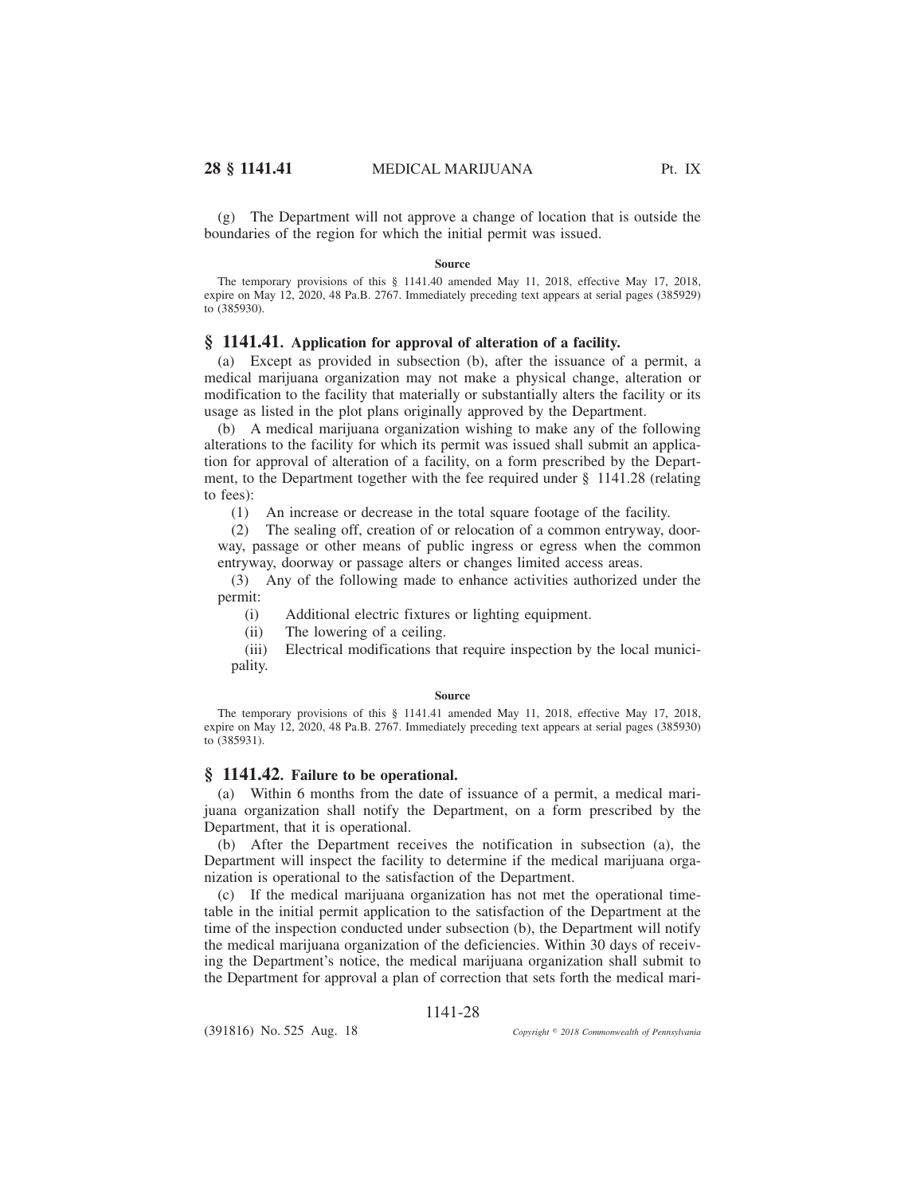(g) The Department will not approve a change of location that is outside the boundaries of the region for which the initial permit was issued.

#### **Source**

The temporary provisions of this § 1141.40 amended May 11, 2018, effective May 17, 2018, expire on May 12, 2020, 48 Pa.B. 2767. Immediately preceding text appears at serial pages (385929) to (385930).

## **§ 1141.41. Application for approval of alteration of a facility.**

(a) Except as provided in subsection (b), after the issuance of a permit, a medical marijuana organization may not make a physical change, alteration or modification to the facility that materially or substantially alters the facility or its usage as listed in the plot plans originally approved by the Department.

(b) A medical marijuana organization wishing to make any of the following alterations to the facility for which its permit was issued shall submit an application for approval of alteration of a facility, on a form prescribed by the Department, to the Department together with the fee required under § 1141.28 (relating to fees):

(1) An increase or decrease in the total square footage of the facility.

(2) The sealing off, creation of or relocation of a common entryway, doorway, passage or other means of public ingress or egress when the common entryway, doorway or passage alters or changes limited access areas.

(3) Any of the following made to enhance activities authorized under the permit:

(i) Additional electric fixtures or lighting equipment.

(ii) The lowering of a ceiling.

(iii) Electrical modifications that require inspection by the local municipality.

### **Source**

The temporary provisions of this § 1141.41 amended May 11, 2018, effective May 17, 2018, expire on May 12, 2020, 48 Pa.B. 2767. Immediately preceding text appears at serial pages (385930) to (385931).

## **§ 1141.42. Failure to be operational.**

(a) Within 6 months from the date of issuance of a permit, a medical marijuana organization shall notify the Department, on a form prescribed by the Department, that it is operational.

(b) After the Department receives the notification in subsection (a), the Department will inspect the facility to determine if the medical marijuana organization is operational to the satisfaction of the Department.

(c) If the medical marijuana organization has not met the operational timetable in the initial permit application to the satisfaction of the Department at the time of the inspection conducted under subsection (b), the Department will notify the medical marijuana organization of the deficiencies. Within 30 days of receiving the Department's notice, the medical marijuana organization shall submit to the Department for approval a plan of correction that sets forth the medical mari-

## 1141-28

(391816) No. 525 Aug. 18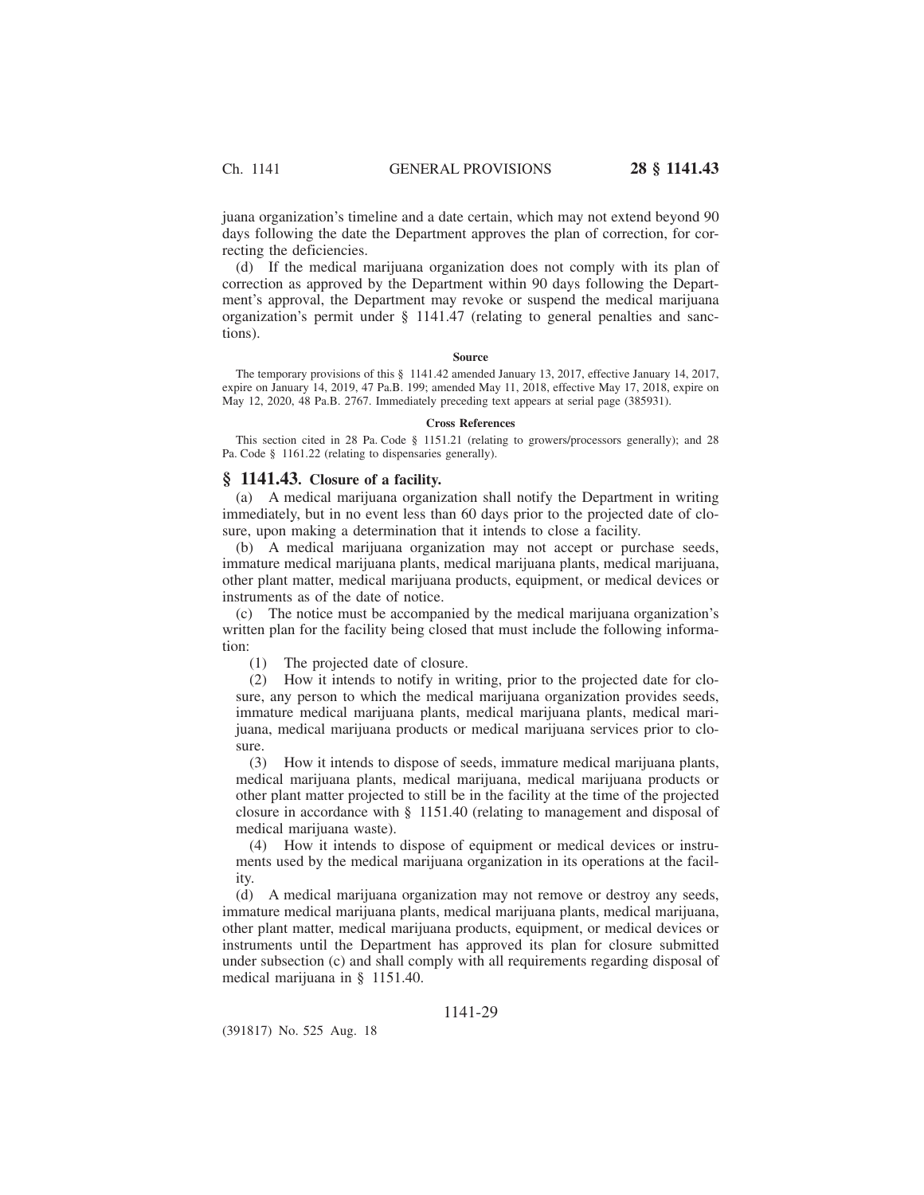juana organization's timeline and a date certain, which may not extend beyond 90 days following the date the Department approves the plan of correction, for correcting the deficiencies.

(d) If the medical marijuana organization does not comply with its plan of correction as approved by the Department within 90 days following the Department's approval, the Department may revoke or suspend the medical marijuana organization's permit under § 1141.47 (relating to general penalties and sanctions).

#### **Source**

The temporary provisions of this § 1141.42 amended January 13, 2017, effective January 14, 2017, expire on January 14, 2019, 47 Pa.B. 199; amended May 11, 2018, effective May 17, 2018, expire on May 12, 2020, 48 Pa.B. 2767. Immediately preceding text appears at serial page (385931).

#### **Cross References**

This section cited in 28 Pa. Code § 1151.21 (relating to growers/processors generally); and 28 Pa. Code § 1161.22 (relating to dispensaries generally).

### **§ 1141.43. Closure of a facility.**

(a) A medical marijuana organization shall notify the Department in writing immediately, but in no event less than 60 days prior to the projected date of closure, upon making a determination that it intends to close a facility.

(b) A medical marijuana organization may not accept or purchase seeds, immature medical marijuana plants, medical marijuana plants, medical marijuana, other plant matter, medical marijuana products, equipment, or medical devices or instruments as of the date of notice.

(c) The notice must be accompanied by the medical marijuana organization's written plan for the facility being closed that must include the following information:

(1) The projected date of closure.

(2) How it intends to notify in writing, prior to the projected date for closure, any person to which the medical marijuana organization provides seeds, immature medical marijuana plants, medical marijuana plants, medical marijuana, medical marijuana products or medical marijuana services prior to closure.

(3) How it intends to dispose of seeds, immature medical marijuana plants, medical marijuana plants, medical marijuana, medical marijuana products or other plant matter projected to still be in the facility at the time of the projected closure in accordance with § 1151.40 (relating to management and disposal of medical marijuana waste).

(4) How it intends to dispose of equipment or medical devices or instruments used by the medical marijuana organization in its operations at the facility.

(d) A medical marijuana organization may not remove or destroy any seeds, immature medical marijuana plants, medical marijuana plants, medical marijuana, other plant matter, medical marijuana products, equipment, or medical devices or instruments until the Department has approved its plan for closure submitted under subsection (c) and shall comply with all requirements regarding disposal of medical marijuana in § 1151.40.

## 1141-29

(391817) No. 525 Aug. 18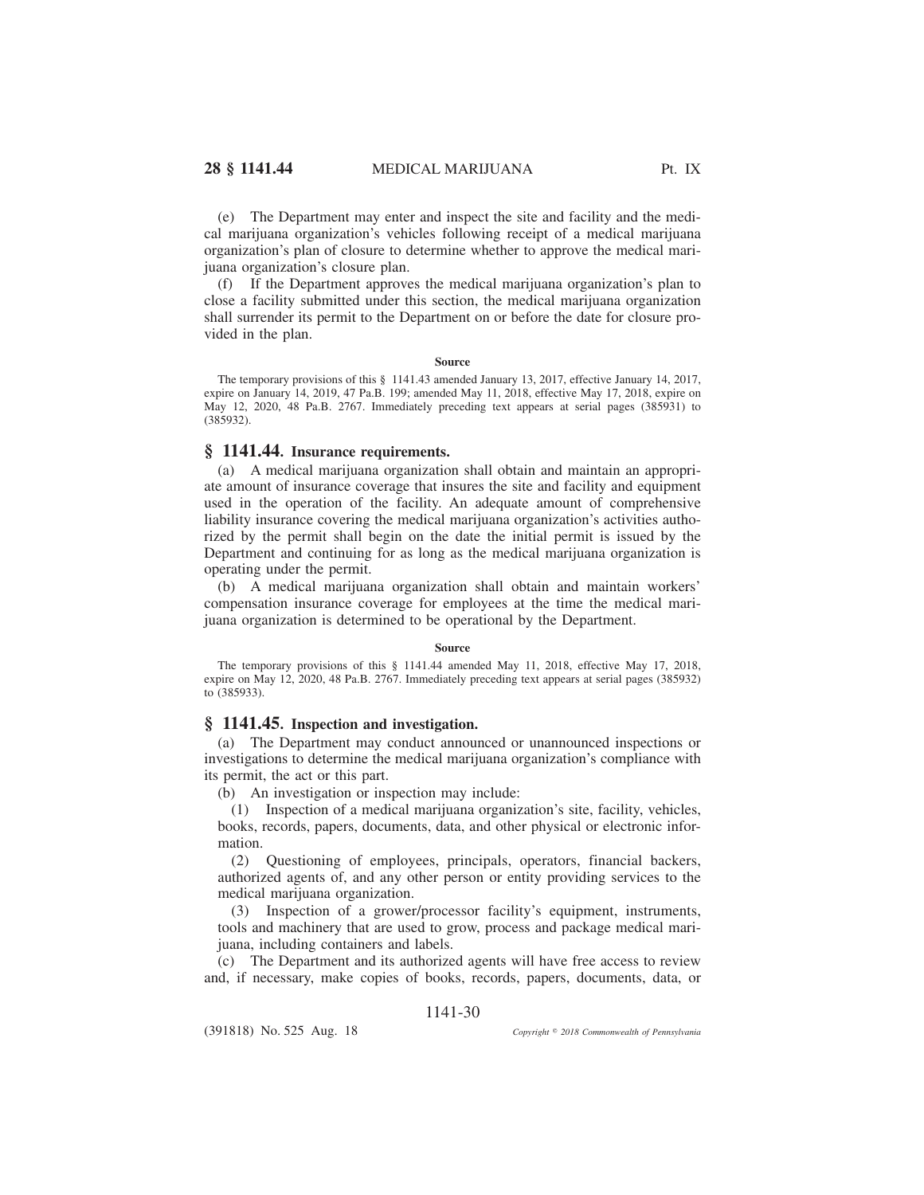(e) The Department may enter and inspect the site and facility and the medical marijuana organization's vehicles following receipt of a medical marijuana organization's plan of closure to determine whether to approve the medical marijuana organization's closure plan.

(f) If the Department approves the medical marijuana organization's plan to close a facility submitted under this section, the medical marijuana organization shall surrender its permit to the Department on or before the date for closure provided in the plan.

### **Source**

The temporary provisions of this § 1141.43 amended January 13, 2017, effective January 14, 2017, expire on January 14, 2019, 47 Pa.B. 199; amended May 11, 2018, effective May 17, 2018, expire on May 12, 2020, 48 Pa.B. 2767. Immediately preceding text appears at serial pages (385931) to (385932).

# **§ 1141.44. Insurance requirements.**

(a) A medical marijuana organization shall obtain and maintain an appropriate amount of insurance coverage that insures the site and facility and equipment used in the operation of the facility. An adequate amount of comprehensive liability insurance covering the medical marijuana organization's activities authorized by the permit shall begin on the date the initial permit is issued by the Department and continuing for as long as the medical marijuana organization is operating under the permit.

(b) A medical marijuana organization shall obtain and maintain workers' compensation insurance coverage for employees at the time the medical marijuana organization is determined to be operational by the Department.

### **Source**

The temporary provisions of this § 1141.44 amended May 11, 2018, effective May 17, 2018, expire on May 12, 2020, 48 Pa.B. 2767. Immediately preceding text appears at serial pages (385932) to (385933).

## **§ 1141.45. Inspection and investigation.**

(a) The Department may conduct announced or unannounced inspections or investigations to determine the medical marijuana organization's compliance with its permit, the act or this part.

(b) An investigation or inspection may include:

(1) Inspection of a medical marijuana organization's site, facility, vehicles, books, records, papers, documents, data, and other physical or electronic information.

(2) Questioning of employees, principals, operators, financial backers, authorized agents of, and any other person or entity providing services to the medical marijuana organization.

(3) Inspection of a grower/processor facility's equipment, instruments, tools and machinery that are used to grow, process and package medical marijuana, including containers and labels.

(c) The Department and its authorized agents will have free access to review and, if necessary, make copies of books, records, papers, documents, data, or

# 1141-30

(391818) No. 525 Aug. 18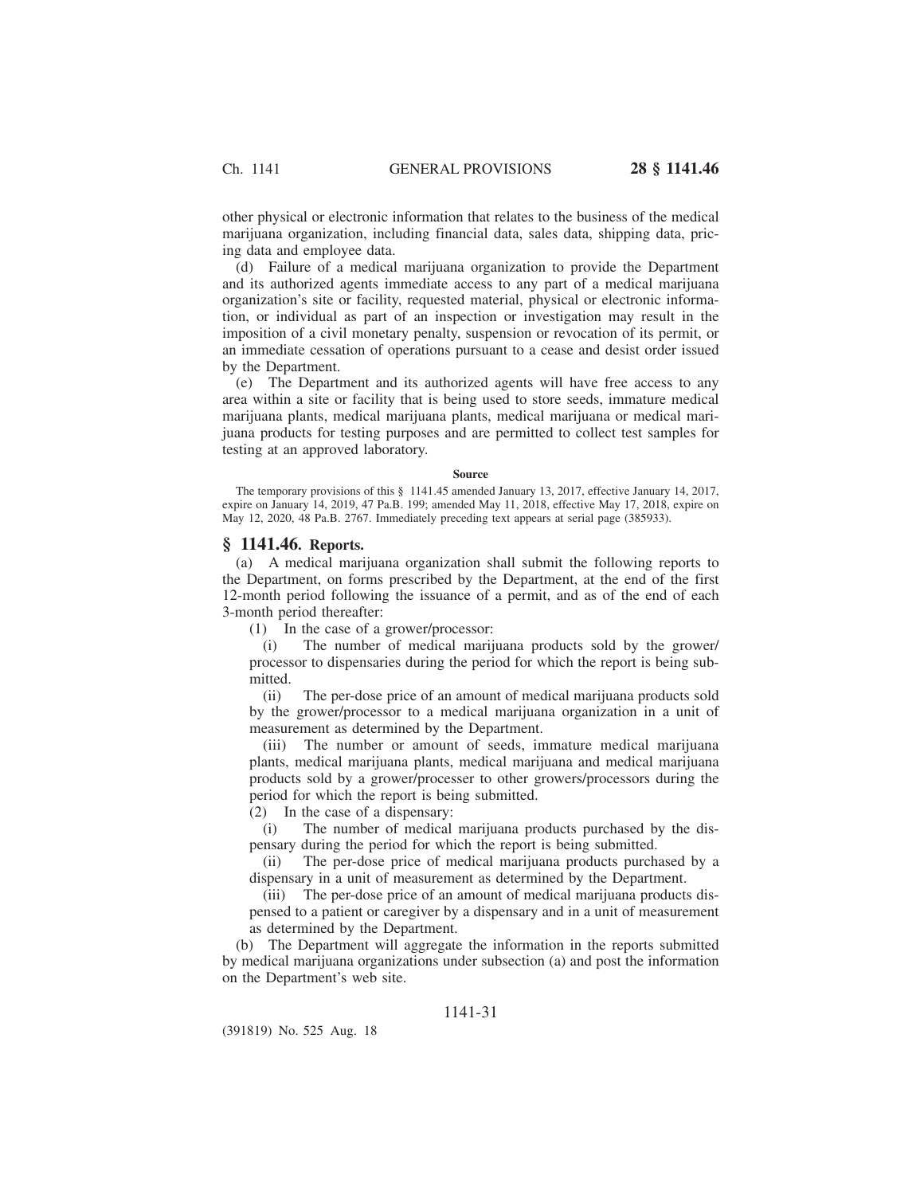other physical or electronic information that relates to the business of the medical marijuana organization, including financial data, sales data, shipping data, pricing data and employee data.

(d) Failure of a medical marijuana organization to provide the Department and its authorized agents immediate access to any part of a medical marijuana organization's site or facility, requested material, physical or electronic information, or individual as part of an inspection or investigation may result in the imposition of a civil monetary penalty, suspension or revocation of its permit, or an immediate cessation of operations pursuant to a cease and desist order issued by the Department.

(e) The Department and its authorized agents will have free access to any area within a site or facility that is being used to store seeds, immature medical marijuana plants, medical marijuana plants, medical marijuana or medical marijuana products for testing purposes and are permitted to collect test samples for testing at an approved laboratory.

#### **Source**

The temporary provisions of this § 1141.45 amended January 13, 2017, effective January 14, 2017, expire on January 14, 2019, 47 Pa.B. 199; amended May 11, 2018, effective May 17, 2018, expire on May 12, 2020, 48 Pa.B. 2767. Immediately preceding text appears at serial page (385933).

### **§ 1141.46. Reports.**

(a) A medical marijuana organization shall submit the following reports to the Department, on forms prescribed by the Department, at the end of the first 12-month period following the issuance of a permit, and as of the end of each 3-month period thereafter:

(1) In the case of a grower/processor:

(i) The number of medical marijuana products sold by the grower/ processor to dispensaries during the period for which the report is being submitted.

(ii) The per-dose price of an amount of medical marijuana products sold by the grower/processor to a medical marijuana organization in a unit of measurement as determined by the Department.

(iii) The number or amount of seeds, immature medical marijuana plants, medical marijuana plants, medical marijuana and medical marijuana products sold by a grower/processer to other growers/processors during the period for which the report is being submitted.

(2) In the case of a dispensary:

(i) The number of medical marijuana products purchased by the dispensary during the period for which the report is being submitted.

(ii) The per-dose price of medical marijuana products purchased by a dispensary in a unit of measurement as determined by the Department.

(iii) The per-dose price of an amount of medical marijuana products dispensed to a patient or caregiver by a dispensary and in a unit of measurement as determined by the Department.

(b) The Department will aggregate the information in the reports submitted by medical marijuana organizations under subsection (a) and post the information on the Department's web site.

# 1141-31

(391819) No. 525 Aug. 18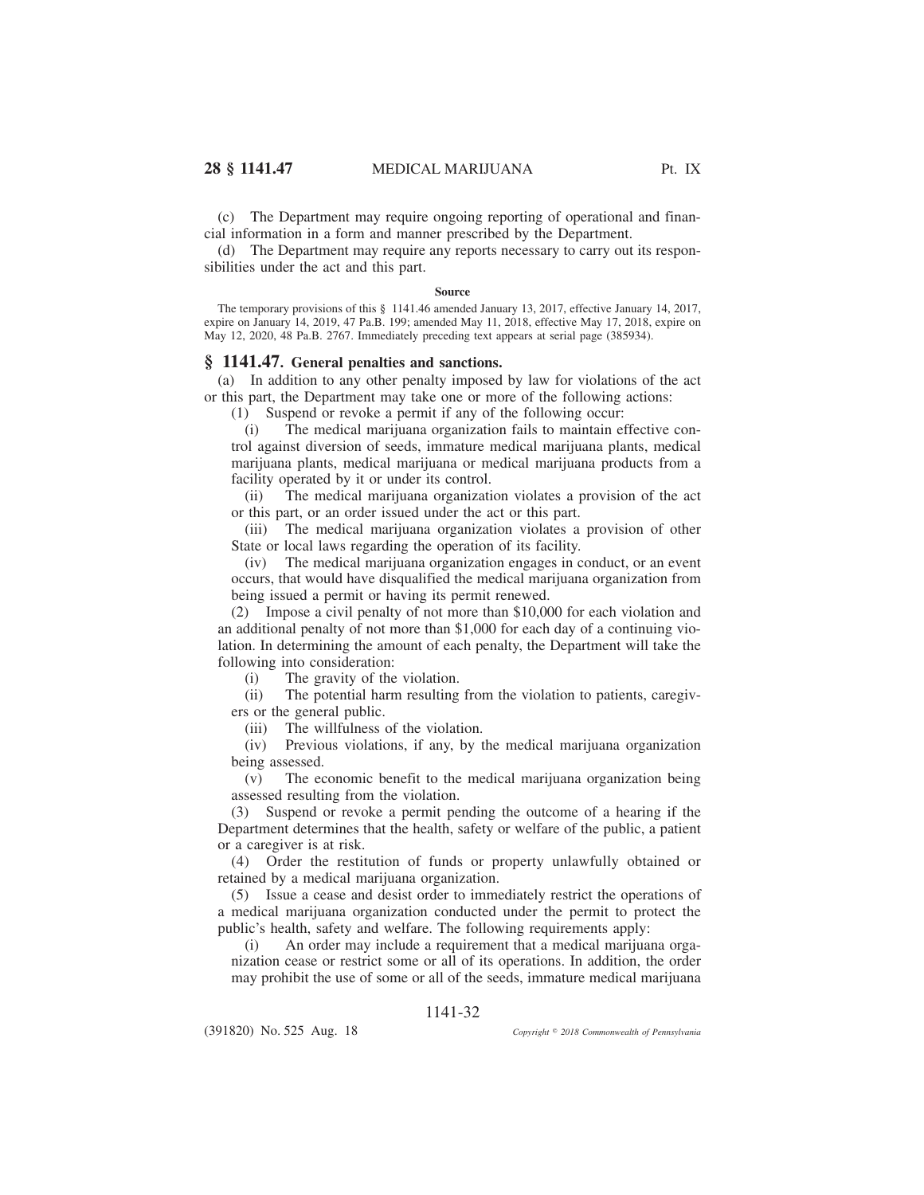(c) The Department may require ongoing reporting of operational and financial information in a form and manner prescribed by the Department.

(d) The Department may require any reports necessary to carry out its responsibilities under the act and this part.

### **Source**

The temporary provisions of this § 1141.46 amended January 13, 2017, effective January 14, 2017, expire on January 14, 2019, 47 Pa.B. 199; amended May 11, 2018, effective May 17, 2018, expire on May 12, 2020, 48 Pa.B. 2767. Immediately preceding text appears at serial page (385934).

### **§ 1141.47. General penalties and sanctions.**

(a) In addition to any other penalty imposed by law for violations of the act or this part, the Department may take one or more of the following actions:

(1) Suspend or revoke a permit if any of the following occur:

(i) The medical marijuana organization fails to maintain effective control against diversion of seeds, immature medical marijuana plants, medical marijuana plants, medical marijuana or medical marijuana products from a facility operated by it or under its control.

(ii) The medical marijuana organization violates a provision of the act or this part, or an order issued under the act or this part.

(iii) The medical marijuana organization violates a provision of other State or local laws regarding the operation of its facility.

(iv) The medical marijuana organization engages in conduct, or an event occurs, that would have disqualified the medical marijuana organization from being issued a permit or having its permit renewed.

(2) Impose a civil penalty of not more than \$10,000 for each violation and an additional penalty of not more than \$1,000 for each day of a continuing violation. In determining the amount of each penalty, the Department will take the following into consideration:

(i) The gravity of the violation.

(ii) The potential harm resulting from the violation to patients, caregivers or the general public.

(iii) The willfulness of the violation.

(iv) Previous violations, if any, by the medical marijuana organization being assessed.

(v) The economic benefit to the medical marijuana organization being assessed resulting from the violation.

(3) Suspend or revoke a permit pending the outcome of a hearing if the Department determines that the health, safety or welfare of the public, a patient or a caregiver is at risk.

(4) Order the restitution of funds or property unlawfully obtained or retained by a medical marijuana organization.

(5) Issue a cease and desist order to immediately restrict the operations of a medical marijuana organization conducted under the permit to protect the public's health, safety and welfare. The following requirements apply:

(i) An order may include a requirement that a medical marijuana organization cease or restrict some or all of its operations. In addition, the order may prohibit the use of some or all of the seeds, immature medical marijuana

# 1141-32

(391820) No. 525 Aug. 18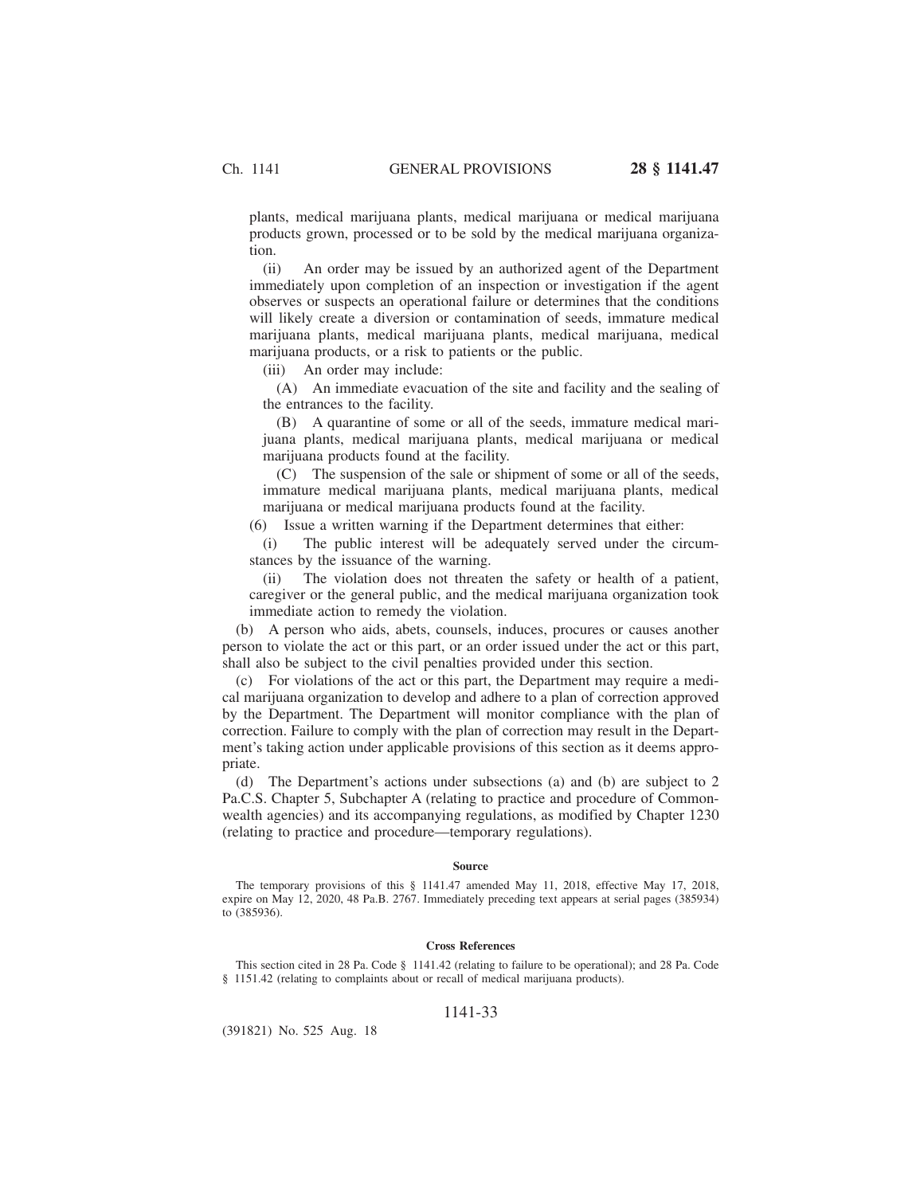plants, medical marijuana plants, medical marijuana or medical marijuana products grown, processed or to be sold by the medical marijuana organization.

(ii) An order may be issued by an authorized agent of the Department immediately upon completion of an inspection or investigation if the agent observes or suspects an operational failure or determines that the conditions will likely create a diversion or contamination of seeds, immature medical marijuana plants, medical marijuana plants, medical marijuana, medical marijuana products, or a risk to patients or the public.

(iii) An order may include:

(A) An immediate evacuation of the site and facility and the sealing of the entrances to the facility.

(B) A quarantine of some or all of the seeds, immature medical marijuana plants, medical marijuana plants, medical marijuana or medical marijuana products found at the facility.

(C) The suspension of the sale or shipment of some or all of the seeds, immature medical marijuana plants, medical marijuana plants, medical marijuana or medical marijuana products found at the facility.

(6) Issue a written warning if the Department determines that either:

(i) The public interest will be adequately served under the circumstances by the issuance of the warning.

(ii) The violation does not threaten the safety or health of a patient, caregiver or the general public, and the medical marijuana organization took immediate action to remedy the violation.

(b) A person who aids, abets, counsels, induces, procures or causes another person to violate the act or this part, or an order issued under the act or this part, shall also be subject to the civil penalties provided under this section.

(c) For violations of the act or this part, the Department may require a medical marijuana organization to develop and adhere to a plan of correction approved by the Department. The Department will monitor compliance with the plan of correction. Failure to comply with the plan of correction may result in the Department's taking action under applicable provisions of this section as it deems appropriate.

(d) The Department's actions under subsections (a) and (b) are subject to 2 Pa.C.S. Chapter 5, Subchapter A (relating to practice and procedure of Commonwealth agencies) and its accompanying regulations, as modified by Chapter 1230 (relating to practice and procedure—temporary regulations).

#### **Source**

The temporary provisions of this § 1141.47 amended May 11, 2018, effective May 17, 2018, expire on May 12, 2020, 48 Pa.B. 2767. Immediately preceding text appears at serial pages (385934) to (385936).

#### **Cross References**

This section cited in 28 Pa. Code § 1141.42 (relating to failure to be operational); and 28 Pa. Code § 1151.42 (relating to complaints about or recall of medical marijuana products).

### 1141-33

(391821) No. 525 Aug. 18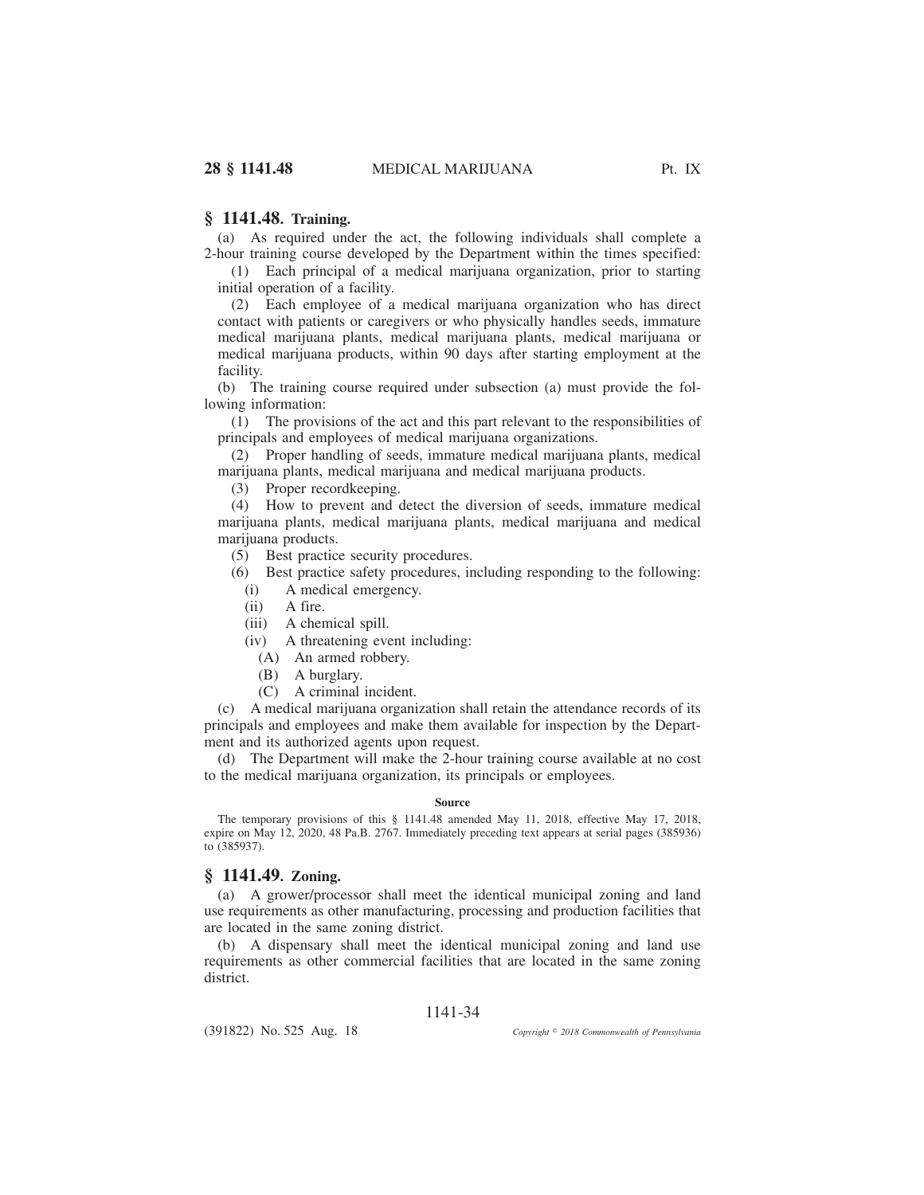## **§ 1141.48. Training.**

(a) As required under the act, the following individuals shall complete a 2-hour training course developed by the Department within the times specified:

(1) Each principal of a medical marijuana organization, prior to starting initial operation of a facility.

(2) Each employee of a medical marijuana organization who has direct contact with patients or caregivers or who physically handles seeds, immature medical marijuana plants, medical marijuana plants, medical marijuana or medical marijuana products, within 90 days after starting employment at the facility.

(b) The training course required under subsection (a) must provide the following information:

(1) The provisions of the act and this part relevant to the responsibilities of principals and employees of medical marijuana organizations.

(2) Proper handling of seeds, immature medical marijuana plants, medical marijuana plants, medical marijuana and medical marijuana products.

(3) Proper recordkeeping.

(4) How to prevent and detect the diversion of seeds, immature medical marijuana plants, medical marijuana plants, medical marijuana and medical marijuana products.

(5) Best practice security procedures.

(6) Best practice safety procedures, including responding to the following:

(i) A medical emergency.

(ii) A fire.

(iii) A chemical spill.

(iv) A threatening event including:

(A) An armed robbery.

(B) A burglary.

(C) A criminal incident.

(c) A medical marijuana organization shall retain the attendance records of its principals and employees and make them available for inspection by the Department and its authorized agents upon request.

(d) The Department will make the 2-hour training course available at no cost to the medical marijuana organization, its principals or employees.

#### **Source**

The temporary provisions of this § 1141.48 amended May 11, 2018, effective May 17, 2018, expire on May 12, 2020, 48 Pa.B. 2767. Immediately preceding text appears at serial pages (385936) to (385937).

## **§ 1141.49. Zoning.**

(a) A grower/processor shall meet the identical municipal zoning and land use requirements as other manufacturing, processing and production facilities that are located in the same zoning district.

(b) A dispensary shall meet the identical municipal zoning and land use requirements as other commercial facilities that are located in the same zoning district.

## 1141-34

(391822) No. 525 Aug. 18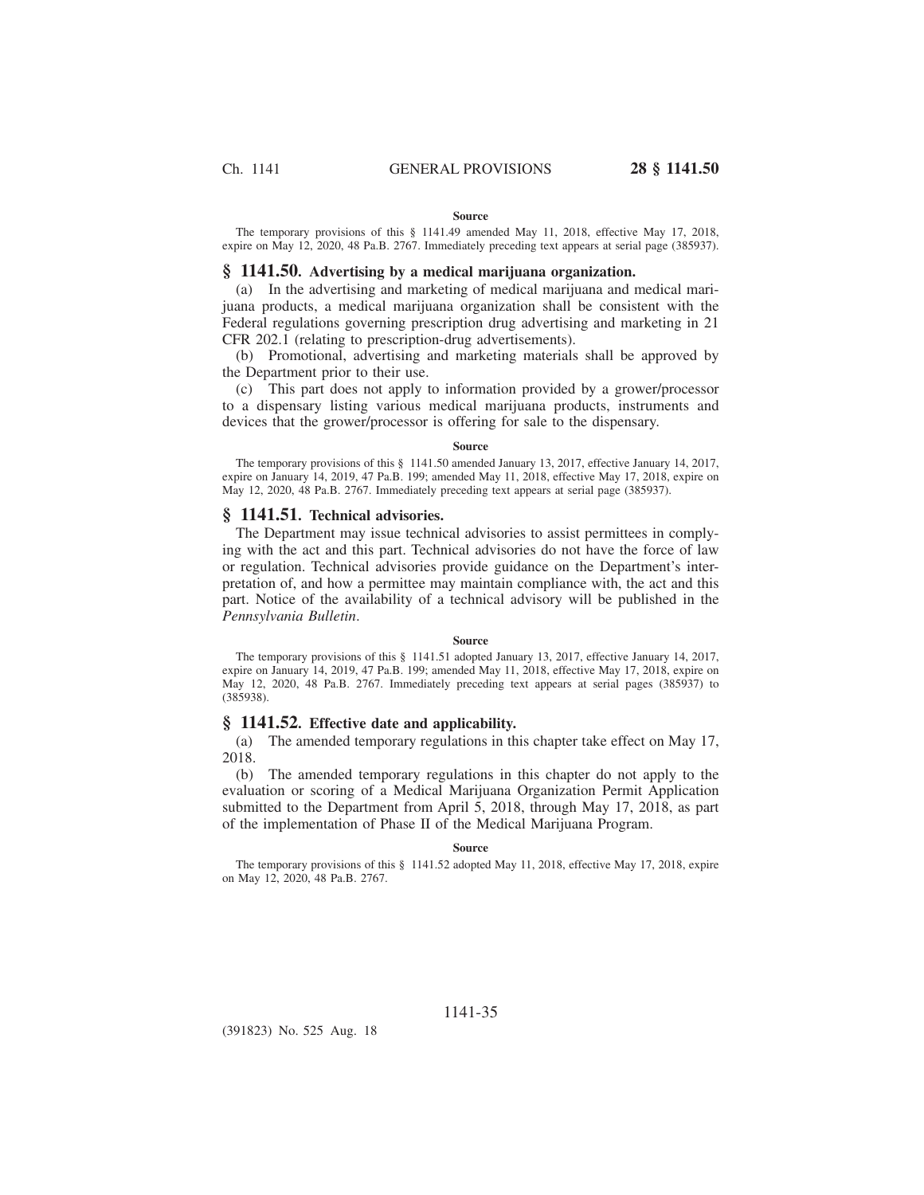#### **Source**

The temporary provisions of this § 1141.49 amended May 11, 2018, effective May 17, 2018, expire on May 12, 2020, 48 Pa.B. 2767. Immediately preceding text appears at serial page (385937).

## **§ 1141.50. Advertising by a medical marijuana organization.**

(a) In the advertising and marketing of medical marijuana and medical marijuana products, a medical marijuana organization shall be consistent with the Federal regulations governing prescription drug advertising and marketing in 21 CFR 202.1 (relating to prescription-drug advertisements).

(b) Promotional, advertising and marketing materials shall be approved by the Department prior to their use.

(c) This part does not apply to information provided by a grower/processor to a dispensary listing various medical marijuana products, instruments and devices that the grower/processor is offering for sale to the dispensary.

### **Source**

The temporary provisions of this § 1141.50 amended January 13, 2017, effective January 14, 2017, expire on January 14, 2019, 47 Pa.B. 199; amended May 11, 2018, effective May 17, 2018, expire on May 12, 2020, 48 Pa.B. 2767. Immediately preceding text appears at serial page (385937).

## **§ 1141.51. Technical advisories.**

The Department may issue technical advisories to assist permittees in complying with the act and this part. Technical advisories do not have the force of law or regulation. Technical advisories provide guidance on the Department's interpretation of, and how a permittee may maintain compliance with, the act and this part. Notice of the availability of a technical advisory will be published in the *Pennsylvania Bulletin*.

#### **Source**

The temporary provisions of this § 1141.51 adopted January 13, 2017, effective January 14, 2017, expire on January 14, 2019, 47 Pa.B. 199; amended May 11, 2018, effective May 17, 2018, expire on May 12, 2020, 48 Pa.B. 2767. Immediately preceding text appears at serial pages (385937) to (385938).

### **§ 1141.52. Effective date and applicability.**

(a) The amended temporary regulations in this chapter take effect on May 17, 2018.

(b) The amended temporary regulations in this chapter do not apply to the evaluation or scoring of a Medical Marijuana Organization Permit Application submitted to the Department from April 5, 2018, through May 17, 2018, as part of the implementation of Phase II of the Medical Marijuana Program.

### **Source**

The temporary provisions of this § 1141.52 adopted May 11, 2018, effective May 17, 2018, expire on May 12, 2020, 48 Pa.B. 2767.

(391823) No. 525 Aug. 18